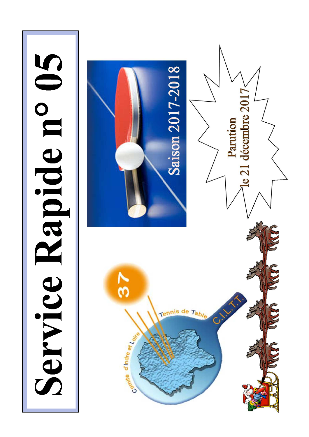Service Rapide n° 05

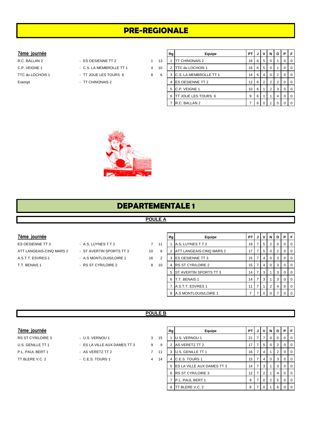# **PRE-REGIONALE**

#### $7$ ème journée

TTC du LOCHOIS 1 - TT JOUE LES TOURS 6 8 Exempt - TT CHINONAIS 2

- R.C. BALLAN 2 ES OESIENNE TT 2 1
- C.P. VEIGNE 1 C.S. LA MEMBROLLE TT 1 4
	-
	-

|    | Rg | Equipe                  | PT | J | v                       | N        | D              | Р | F |
|----|----|-------------------------|----|---|-------------------------|----------|----------------|---|---|
| 13 |    | TT CHINONAIS 2          | 16 | 6 | 5                       | $\Omega$ |                | 0 | 0 |
| 10 | 2  | <b>TTC du LOCHOIS 1</b> | 16 | 6 | 5                       | $\Omega$ |                |   | 0 |
| 6  | 3  | C.S. LA MEMBROLLE TT 1  | 14 | 6 | $\overline{\mathbf{4}}$ | $\Omega$ | $\overline{2}$ | 0 | 0 |
|    | 4  | <b>ES OESIENNE TT 2</b> | 12 | 6 | $\overline{2}$          | 2        | 2              | 0 | 0 |
|    | 5  | C.P. VEIGNE 1           | 10 | 6 | 1                       | 2        | 3              | 0 | 0 |
|    | 6  | TT JOUE LES TOURS 6     | 9  | 6 | 1                       | 1        | 4              | O | 0 |
|    | 7  | R.C. BALLAN 2           | 7  | 6 | 0                       |          | 5              |   | U |



## **DEPARTEMENTALE 1**

## **POULE A**

#### **7ème journée**

ES OESIENNE TT 3 - A.S. LUYNES T.T 2 7 11 A.S.T.T. ESVRES 1 - A.S MONTLOUIS/LOIRE 1 16 T.T. BENAIS 1 - RS ST CYR/LOIRE 2 8 10

- ATT LANGEAIS-CINQ MARS 2 ST AVERTIN SPORTS TT 3 20 10
	-
	-

|          | Rg | Equipe                   | PT | J | ν | N        | D | Р | F        |  |  |  |
|----------|----|--------------------------|----|---|---|----------|---|---|----------|--|--|--|
| 1        | 1  | A.S. LUYNES T.T 2        | 19 | 7 | 5 | 2        | 0 | O | $\Omega$ |  |  |  |
| 8        | 2  | ATT LANGEAIS-CINQ MARS 2 | 17 | 7 | 5 | 0        | 2 | O | $\Omega$ |  |  |  |
| 2        | 3  | ES OESIENNE TT 3         | 15 | 7 | 4 | $\Omega$ | 3 | O | 0        |  |  |  |
| $\Omega$ | 4  | <b>RS ST CYR/LOIRE 2</b> | 15 | 7 | 4 | $\Omega$ | 3 | O | $\Omega$ |  |  |  |
|          | 5  | ST AVERTIN SPORTS TT 3   | 14 | 7 | 3 |          | 3 | 0 | $\Omega$ |  |  |  |
|          | 6  | T.T. BENAIS 1            | 14 | 7 | 3 |          | 3 | 0 | $\Omega$ |  |  |  |
|          | 7  | A.S.T.T. ESVRES 1        | 11 | 7 | 1 | 2        | 4 | O | $\Omega$ |  |  |  |
|          | 8  | A.S MONTLOUIS/LOIRE 1    |    |   | 0 | ი        |   |   |          |  |  |  |

#### **POULE B**

| 7ème journée |
|--------------|
|              |

- 
- 
- 
- 
- TT BLERE V.C. 2 C.E.S. TOURS 1 4

| 7ème journée      |                              |                |    | Rg | Equipe                       | PT I            | J  | $\mathsf{v}$          |   | <b>NDP</b>     |              |  |
|-------------------|------------------------------|----------------|----|----|------------------------------|-----------------|----|-----------------------|---|----------------|--------------|--|
| RS ST CYR/LOIRE 3 | - U.S. VERNOU 1              | 3              | 15 |    | U.S. VERNOU 1                | 21              |    |                       |   | 0 <sup>1</sup> |              |  |
| U.S. GENILLE TT 1 | - ES LA VILLE AUX DAMES TT 3 | 9              | -9 | 2  | AS VERETZ TT 2               | 17 <sup>1</sup> | -7 | 5                     |   | 2 <sup>1</sup> |              |  |
| P.L. PAUL BERT 1  | - AS VERETZ TT 2             | 7              | 11 | 3  | U.S. GENILLE TT 1            | 16 <sup>1</sup> | -7 | 4                     |   | 2 <sup>1</sup> |              |  |
| TT BLERE V.C. 2   | - C.E.S. TOURS 1             | $\overline{4}$ | 14 |    | 4 C.E.S. TOURS 1             | 15              |    | 4                     |   | 3              |              |  |
|                   |                              |                |    |    | 5 ES LA VILLE AUX DAMES TT 3 | 14              | -7 | 3                     |   | 3              |              |  |
|                   |                              |                |    |    | 6 RS ST CYR/LOIRE 3          | 12 <sub>1</sub> | -7 | $\mathbf{2}^{\prime}$ |   | 4 <sup>1</sup> |              |  |
|                   |                              |                |    |    | P.L. PAUL BERT 1             | 9               |    | $\mathbf{0}$          | 2 | 5              | $^{\circ}$ 0 |  |
|                   |                              |                |    | 8  | <b>TT BLERE V.C. 2</b>       | 8               |    |                       |   |                |              |  |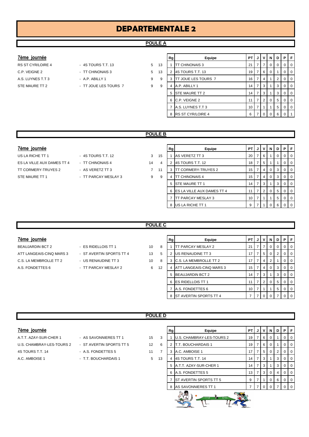# **DEPARTEMENTALE 2**

## **POULE A**

#### $7$ ème journée

- A.S. LUYNES T.T 3 A.P. ABILLY 1 9 STE MAURE TT 2 **FILLES TOURS 7** 4 A.P. ABILES TOURS 7
- RS ST CYR/LOIRE 4 4S TOURS T.T. 13 5 13 C.P. VEIGNE 2 - TT CHINONAIS 3 5 1
	-

|    | Rg | Equipe              | PT | J | ٧              | N        | D | Р        | F            |
|----|----|---------------------|----|---|----------------|----------|---|----------|--------------|
| 13 | 1  | TT CHINONAIS 3      | 21 | 7 | 7              | 0        | 0 | 0        | 0            |
| 13 | 2  | 4S TOURS T.T. 13    | 19 | 7 | 6              | $\Omega$ | 1 | $\Omega$ | $\Omega$     |
| 9  | 3  | TT JOUE LES TOURS 7 | 16 | 7 | 4              | 1        | 2 | 0        | 0            |
| 9  | 4  | A.P. ABILLY 1       | 14 | 7 | 3              | 1        | 3 | 0        | 0            |
|    | 5  | STE MAURE TT 2      | 14 | 7 | 3              | 1        | 3 | 0        | $\Omega$     |
|    | 6  | C.P. VEIGNE 2       | 11 | 7 | $\overline{2}$ | $\Omega$ | 5 | $\Omega$ | $\Omega$     |
|    | 7  | A.S. LUYNES T.T 3   | 10 | 7 | 1              | 1        | 5 | 0        | $\Omega$     |
|    | 8  | RS ST CYR/LOIRE 4   | 6  |   | 0              | $\Omega$ | 6 | $\Omega$ | $\mathbf{1}$ |

#### **POULE B**

#### $7$ ème journée

ES LA VILLE AUX DAMES TT 4 - TT CHINONAIS 4 14 TT CORMERY-TRUYES 2 - AS VERETZ TT 3 7 1 STE MAURE TT 1  $\overline{9}$  - TT PARCAY MESLAY 3

US LA RICHE TT 1 - 4S TOURS T.T. 12 3 15

|   | Rg | Equipe                     | PT | J | v | N        | D | Р        | F        |
|---|----|----------------------------|----|---|---|----------|---|----------|----------|
| 5 |    | AS VERETZ TT 3             | 20 | 7 | 6 | 1        | 0 | $\Omega$ | $\Omega$ |
| 4 | 2  | 4S TOURS T.T. 12           | 18 | 7 | 5 | 1        | 1 | 0        | $\Omega$ |
| 1 | 3  | TT CORMERY-TRUYES 2        | 15 | 7 | 4 | 0        | 3 | $\Omega$ | $\Omega$ |
| g | 4  | TT CHINONAIS 4             | 15 | 7 | 4 | 0        | 3 | $\Omega$ | $\Omega$ |
|   | 5  | STE MAURE TT 1             | 14 | 7 | 3 | 1        | 3 | $\Omega$ | $\Omega$ |
|   | 6  | ES LA VILLE AUX DAMES TT 4 | 11 | 7 | 2 | $\Omega$ | 5 | $\Omega$ | $\Omega$ |
|   |    | TT PARCAY MESLAY 3         | 10 | 7 | 1 | 1        | 5 | $\Omega$ | $\Omega$ |
|   | 8  | US LA RICHE TT 1           | 9  | 7 |   | O        | 6 | O        | 0        |
|   |    |                            |    |   |   |          |   |          |          |

#### **POULE C**

#### $7$ ème journée

BEAUJARDIN BCT 2 - ES RIDELLOIS TT 1 10 10 ATT LANGEAIS-CINQ MARS 3 - ST AVERTIN SPORTS TT 4 13 C.S. LA MEMBROLLE TT 2 - US RENAUDINE TT 3 10 A.S. FONDETTES 6 **FOLLU** 2 **12 ATT PARCAY MESLAY 2** 12 4 ATT PARCAY MESLAY 2

- 
- -

|    | Rg | Equipe                   | PT | J | v              | N        | D        | P        | F        |
|----|----|--------------------------|----|---|----------------|----------|----------|----------|----------|
| 8  |    | TT PARCAY MESLAY 2       | 21 | 7 | 7              | O        | $\Omega$ | $\Omega$ | 0        |
| 5  | 2  | US RENAUDINE TT 3        | 17 | 7 | 5              | $\Omega$ | 2        | $\Omega$ | 0        |
| 8  | 3  | C.S. LA MEMBROLLE TT 2   | 17 | 7 | 4              | 2        |          | 0        | 0        |
| 12 | 4  | ATT LANGEAIS-CINQ MARS 3 | 15 | 7 | 4              | $\Omega$ | 3        | $\Omega$ | 0        |
|    | 5  | <b>BEAUJARDIN BCT 2</b>  | 14 | 7 | 3              | 1        | 3        | $\Omega$ | 0        |
|    | 6  | <b>ES RIDELLOIS TT 1</b> | 11 | 7 | $\overline{2}$ | 0        | 5        | $\Omega$ | $\Omega$ |
|    | 7  | A.S. FONDETTES 6         | 10 | 7 |                |          | 5        | $\Omega$ | 0        |
|    | 8  | ST AVERTIN SPORTS TT 4   |    |   | 0              | ი        |          | 0        | 0        |

#### **POULE D**

| 7ème journee |  |
|--------------|--|
|              |  |

- U.S. CHAMBRAY-LES-TOURS 2 ST AVERTIN SPORTS TT 5 12 4S TOURS T.T. 14 **A.S. FONDETTES 5** 11 A.C. AMBOISE 1 - T.T. BOUCHARDAIS 1 5 13
- A.T.T. AZAY-SUR-CHER 1 AS SAVONNIERES TT 1 15
	-

| 7ème journée              |                          |                   |    | Rg | Equipe                    | PT I   | V <sub>1</sub> | N I            | D I | PF             |
|---------------------------|--------------------------|-------------------|----|----|---------------------------|--------|----------------|----------------|-----|----------------|
| A.T.T. AZAY-SUR-CHER 1    | - AS SAVONNIERES TT 1    | 15                | 3  |    | U.S. CHAMBRAY-LES-TOURS 2 | 19     | 6              |                |     | 0 <sub>0</sub> |
| U.S. CHAMBRAY-LES-TOURS 2 | - ST AVERTIN SPORTS TT 5 | $12 \overline{ }$ | 6  |    | T.T. BOUCHARDAIS 1        | 19     | 6              | 0              |     | $0$   0        |
| 4S TOURS T.T. 14          | - A.S. FONDETTES 5       | 11                | ⇁  | 3  | A.C. AMBOISE 1            | 17     | 5              | $\overline{0}$ | 2   | $0$   $0$      |
| A.C. AMBOISE 1            | - T.T. BOUCHARDAIS 1     | 5                 | 13 |    | 4 4S TOURS T.T. 14        | 14     | 3              |                | 3   | 0 <sub>0</sub> |
|                           |                          |                   |    |    | 5 A.T.T. AZAY-SUR-CHER 1  | 14     | 3              |                | 3   | $0$   $0$      |
|                           |                          |                   |    |    | 6 A.S. FONDETTES 5        | 13     | 3              | $\Omega$       | 4   | $0$   $0$      |
|                           |                          |                   |    |    | ST AVERTIN SPORTS TT 5    | 9      |                | $\mathbf{0}$   | 6   | 0 <sub>0</sub> |
|                           |                          |                   |    |    | 8 AS SAVONNIERES TT 1     |        |                |                |     | 0 1 0          |
|                           |                          |                   |    |    | $\mathscr{L}$ , and       | $\sim$ |                |                |     |                |



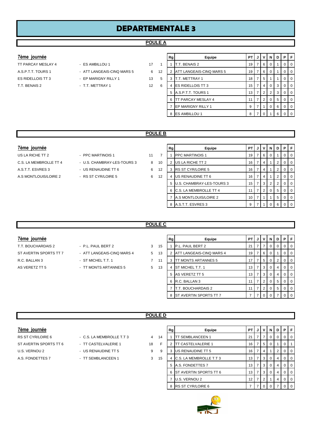# **DEPARTEMENTALE 3**

#### **POULE A**

- 
- 
- 
- **7ème journée Rg Equipe PT J V N D P F** TT PARCAY MESLAY 4 - ES AMBILLOU 1 17 1 1 T.T. BENAIS 2 19 7 6 0 1 0 0 0 A.S.P.T.T. TOURS 1 - ATT LANGEAIS-CINQ MARS 5 6 12 2 ATT LANGEAIS-CINQ MARS 5 19 7 6 0 1 0 0 ES RIDELLOIS TT 3 - EP MARIGNY RILLY 1 13 5 3 T.T. METTRAY 1 18 7 5 18 7 5 1 1 0 0 T.T. BENAIS 2 - T.T. METTRAY 1 12 6 4 ES RIDELLOIS TT 3 15 7 4 0 3 0 0 5 A.S.P.T.T. TOURS 1 13 7 2 3 0 0 6 TT PARCAY MESLAY 4 11 7 2 0 5 0 0 7 EP MARIGNY RILLY 1 9 7 1 0 6 0 0 8 ES AMBILLOU 1 8 7 0 1 6 0

#### **POULE B**

#### **7ème journée**

- 
- 

| 7ème journée           |                             |    |    | Rg | Equipe                      | PT.             |                |                | JIVINID |   | P I             | F |
|------------------------|-----------------------------|----|----|----|-----------------------------|-----------------|----------------|----------------|---------|---|-----------------|---|
| US LA RICHE TT 2       | - PPC MARTINOIS 1           | 11 |    |    | <b>IPPC MARTINOIS 1</b>     | 19 <sup>1</sup> | $\overline{7}$ | 6              |         |   | 0 <sub>1</sub>  |   |
| C.S. LA MEMBROLLE TT 4 | - U.S. CHAMBRAY-LES-TOURS 3 | 8  | 10 |    | US LA RICHE TT 2            | 16              | 7 <sub>1</sub> | 4              |         |   | 0 <sub>10</sub> |   |
| A.S.T.T. ESVRES 3      | - US RENAUDINE TT 6         | 6  | 12 | 3  | <b>IRS ST CYR/LOIRE 5</b>   | 16              | 7 <sub>1</sub> | $\sim$         |         | 2 | 0 <sub>10</sub> |   |
| A.S. MONTLOUIS/LOIRE 2 | - RS ST CYR/LOIRE 5         | 6  | 12 |    | US RENAUDINE TT 6           | 16              | 7 <sub>1</sub> | 4              |         |   | 0 <sub>10</sub> |   |
|                        |                             |    |    |    | 5 U.S. CHAMBRAY-LES-TOURS 3 | 15 <sup>1</sup> | $\overline{7}$ | 3 I            | 2       |   | 0 <sub>10</sub> |   |
|                        |                             |    |    |    | 6 C.S. LA MEMBROLLE TT 4    | 11              | $\overline{7}$ | 2 <sub>1</sub> |         | 5 | 0 <sub>10</sub> |   |
|                        |                             |    |    |    | A.S MONTLOUIS/LOIRE 2       | 10              | 7              |                |         | 5 | 0 <sup>1</sup>  |   |
|                        |                             |    |    |    | 8 A.S.T.T. ESVRES 3         | 9               |                |                |         |   | 0 <sub>1</sub>  |   |

#### **POULE C**

- ST AVERTIN SPORTS TT 7 ATT LANGEAIS-CINQ MARS 4 5 13 AS VERETZ TT 5  $\overline{5}$  - TT MONTS ARTANNES 5 5 13
- T.T. BOUCHARDAIS 2 P.L. PAUL BERT 2 3 15
	- -

|       | 3 | 1          |
|-------|---|------------|
| ARS 4 | 5 | $\ddagger$ |

| 7ème journée           |                            |                |    | Rg | Equipe                          | <b>PT</b>       |                | JIVI            | N           | D        |                | PF             |
|------------------------|----------------------------|----------------|----|----|---------------------------------|-----------------|----------------|-----------------|-------------|----------|----------------|----------------|
| T.T. BOUCHARDAIS 2     | - P.L. PAUL BERT 2         | 3              | 15 |    | P.L. PAUL BERT 2                | 21              |                |                 | 0           | $\Omega$ |                | $01$ 0         |
| ST AVERTIN SPORTS TT 7 | - ATT LANGEAIS-CINQ MARS 4 | 5              | 13 |    | <b>ATT LANGEAIS-CINQ MARS 4</b> | 19              |                | 6               |             |          | $\overline{0}$ | $\overline{0}$ |
| R.C. BALLAN 3          | - ST MICHEL T.T. 1         | $\overline{7}$ | 11 |    | TT MONTS ARTANNES 5             |                 |                | -5              |             |          | $\overline{0}$ | $\overline{0}$ |
| AS VERETZ TT 5         | - TT MONTS ARTANNES 5      | 5              | 13 | 4  | <b>ST MICHEL T.T. 1</b>         | 13 <sup>1</sup> | <b>7</b>       | l 3 l           | $\Omega$    | 4        |                | $01$ 0         |
|                        |                            |                |    |    | 5 AS VERETZ TT 5                | 13 <sup>1</sup> | <b>7</b>       | l 3 l           |             | 4        |                | $01$ 0         |
|                        |                            |                |    |    | 6 R.C. BALLAN 3                 | 11 <sub>1</sub> | <b>7</b>       | $\vert 2 \vert$ | $\mathbf 0$ | 5        |                | $01$ 0         |
|                        |                            |                |    |    | <b>T.T. BOUCHARDAIS 2</b>       | 11 <sub>1</sub> | 7 <sub>1</sub> |                 | $\Omega$    | 5        |                | $01$ 0         |
|                        |                            |                |    | 8  | <b>ST AVERTIN SPORTS TT 7</b>   |                 | <b>7</b>       | 0 <sub>0</sub>  |             |          |                | 0 <sup>1</sup> |

#### **POULE D**

| Tême Tournee |  |
|--------------|--|
|              |  |
|              |  |

- RS ST CYR/LOIRE 6 C.S. LA MEMBROLLE T.T 3 4 1 ST AVERTIN SPORTS TT 6 - TT CASTELVALERIE 1 18 U.S. VERNOU 2 **DEALL ASSESSED ASSESSED ASSAULTED ASSAULT** U.S. VERNOU 2 A.S. FONDETTES 7 - TT SEMBLANCEEN 1 3 15 4 C.S. LA MEMBRO
	-
	-
	-
- -

| 7ème journée           |                           |                |    | Rg | Equipe                         | <b>PT</b>       | JIV | N I      | D I |   | PF               |
|------------------------|---------------------------|----------------|----|----|--------------------------------|-----------------|-----|----------|-----|---|------------------|
| RS ST CYR/LOIRE 6      | - C.S. LA MEMBROLLE T.T 3 | $\overline{4}$ | 14 |    | <b>「SEMBLANCEEN 1</b>          | 21              |     | 0        |     |   | $0$   $0$        |
| ST AVERTIN SPORTS TT 6 | - TT CASTELVALERIE 1      | 18             |    |    | <b>TT CASTELVALERIE 1</b>      | 16 I            | 5   | 0        |     | 0 |                  |
| U.S. VERNOU 2          | - US RENAUDINE TT 5       | 9              | 9  | 3  | US RENAUDINE TT 5              | 16              | 4   |          | 2   |   | 0 <sub>0</sub>   |
| A.S. FONDETTES 7       | - TT SEMBLANCEEN 1        | 3              | 15 |    | <b>C.S. LA MEMBROLLE T.T 3</b> | 13              | 3   | $\Omega$ |     | 0 | $\overline{1}$ 0 |
|                        |                           |                |    |    | 5 A.S. FONDETTES 7             | 13 I            | -3  | $\Omega$ |     |   | $0$   $0$        |
|                        |                           |                |    |    | 6 ST AVERTIN SPORTS TT 6       | 13 <sup>1</sup> | 3   |          |     |   | $0$   $0$        |
|                        |                           |                |    |    | U.S. VERNOU 2                  | 12 I            | 2   |          |     |   | $0$   $0$        |
|                        |                           |                |    |    | 8 RS ST CYR/LOIRE 6            |                 |     | 0        |     |   | 0 <sub>0</sub>   |



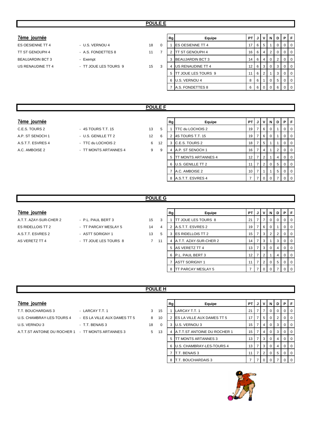#### **7ème journée**

# BEAUJARDIN BCT 3 - Exempt US RENAUDINE TT 4 - TT JOUE LES TOURS 9 15

- ES OESIENNE TT 4 U.S. VERNOU 4 18 TT ST GENOUPH 4 - A.S. FONDETTES 8 11
	-

|          | Rg | Equipe                  | PT | J | ٧              | N        | D              | Р        | F            |
|----------|----|-------------------------|----|---|----------------|----------|----------------|----------|--------------|
| $\Omega$ |    | ES OESIENNE TT 4        | 17 | 6 | 5              | 1        | $\Omega$       | 0        | $\Omega$     |
| 7        | 2  | <b>TT ST GENOUPH 4</b>  | 16 | 6 | $\overline{4}$ | 2        | 0              | 0        | $\Omega$     |
|          | 3  | <b>BEAUJARDIN BCT 3</b> | 14 | 6 | 4              | $\Omega$ | $\overline{2}$ | $\Omega$ | $\Omega$     |
| 3        | 4  | US RENAUDINE TT 4       | 12 | 6 | 3              | $\Omega$ | 3              | 0        | $\Omega$     |
|          | 5  | TT JOUE LES TOURS 9     | 11 | 6 | 2              | 1        | 3              | $\Omega$ | $\Omega$     |
|          | 6  | U.S. VERNOU 4           | 8  | 6 | 1              | $\Omega$ | 5              | 0        | $\Omega$     |
|          |    | A.S. FONDETTES 8        | 6  | 6 | $\Omega$       | $\Omega$ | 6              | 0        | <sup>0</sup> |
|          |    |                         |    |   |                |          |                |          |              |

## **POULE F**

#### **7ème journée**

- A.C. AMBOISE 2 TT MONTS ARTANNES 4 9
- C.E.S. TOURS 2 4S TOURS T.T. 15 13 A.P. ST SENOCH 1 - U.S. GENILLE TT 2 12 A.S.T.T. ESVRES 4 - TTC du LOCHOIS 2 6 1

|   | Rg | Equipe              | PТ | J | ν              | N | D | Р | F        |
|---|----|---------------------|----|---|----------------|---|---|---|----------|
| 5 | 1  | TTC du LOCHOIS 2    | 19 | 7 | 6              | 0 |   | O | 0        |
| 6 | 2  | 4S TOURS T.T. 15    | 19 | 7 | 6              | 0 |   | O | 0        |
| 2 | 3  | C.E.S. TOURS 2      | 18 | 7 | 5              |   |   | O | 0        |
| 9 | 4  | A.P. ST SENOCH 1    | 16 | 7 | 4              |   | 2 | 0 | 0        |
|   | 5  | TT MONTS ARTANNES 4 | 12 | 7 | $\overline{2}$ |   | 4 | O | 0        |
|   | 6  | U.S. GENILLE TT 2   | 11 | 7 | 2              | 0 | 5 | O | 0        |
|   | 7  | A.C. AMBOISE 2      | 10 | 7 | 1              |   | 5 | O | 0        |
|   | 8  | A.S.T.T. ESVRES 4   | 7  | 7 | 0              | O |   |   | $\Omega$ |

#### **POULE G**

#### $7$ ème journée

- ES RIDELLOIS TT 2 TT PARCAY MESLAY 5 14 A.S.T.T. ESVRES 2 - ASTT SORIGNY 1 13 AS VERETZ TT 4  $\qquad \qquad$  - TT JOUE LES TOURS 8  $\qquad \qquad$  7 1
- A.T.T. AZAY-SUR-CHER 2 P.L. PAUL BERT 3 15
	-
	-

|                | Rg | Equipe                 | PТ | J. | ν        | N        | D        | Р | F |
|----------------|----|------------------------|----|----|----------|----------|----------|---|---|
| 3              |    | TT JOUE LES TOURS 8    | 21 | 7  | 7        | $\Omega$ | $\Omega$ | 0 | 0 |
| $\overline{4}$ | 2  | A.S.T.T. ESVRES 2      | 19 | 7  | 6        | $\Omega$ | 1        | 0 | 0 |
| 5              | 3  | ES RIDELLOIS TT 2      | 15 | 7  | 3        | 2        | 2        | 0 | 0 |
| $\mathbf{1}$   | 4  | A.T.T. AZAY-SUR-CHER 2 | 14 | 7  | 3        | 1        | 3        | 0 | 0 |
|                | 5  | AS VERETZ TT 4         | 13 | 7  | 3        | $\Omega$ | 4        | 0 | 0 |
|                | 6  | P.L. PAUL BERT 3       | 12 | 7  | 2        | 1        | 4        | 0 | 0 |
|                | 7  | <b>ASTT SORIGNY 1</b>  | 11 | 7  | 2        | $\Omega$ | 5        | 0 | 0 |
|                | 8  | TT PARCAY MESLAY 5     | 7  |    | $\Omega$ | 0        |          | O | ი |

## **POULE H**

## $7$ ème journée

- T.T. BOUCHARDAIS 3 LARCAY T.T. 1 3 15 U.S. CHAMBRAY-LES-TOURS 4 - ES LA VILLE AUX DAMES TT 5 8 10 U.S. VERNOU 3 - T.T. BENAIS 3 18 0 3 U.S. VERNOU 3 15 7 4 0 3 0 0 A.T.T.ST ANTOINE DU ROCHER 1 - TT MONTS ARTANNES 3 5 13
- 

|          | Rg | Equipe                       | PT | J | ν | N        | D | Р | F        |
|----------|----|------------------------------|----|---|---|----------|---|---|----------|
| 5        |    | LARCAY T.T. 1                | 21 | 7 | 7 | 0        | 0 | 0 | $\Omega$ |
| $\Omega$ | 2  | ES LA VILLE AUX DAMES TT 5   | 17 | 7 | 5 | $\Omega$ | 2 | 0 | $\Omega$ |
| $\Omega$ | 3  | U.S. VERNOU 3                | 15 | 7 | 4 | $\Omega$ | 3 | 0 | $\Omega$ |
| 3        | 4  | A.T.T.ST ANTOINE DU ROCHER 1 | 15 | 7 | 4 | $\Omega$ | 3 | 0 | $\Omega$ |
|          | 5  | TT MONTS ARTANNES 3          | 13 | 7 | 3 | O        | 4 | Ω | $\Omega$ |
|          | 6  | U.S. CHAMBRAY-LES-TOURS 4    | 13 | 7 | 3 | O        | 4 | O | $\Omega$ |
|          | 7  | T.T. BENAIS 3                | 11 | 7 | 2 | 0        | 5 | O | $\Omega$ |
|          | 8  | T.T. BOUCHARDAIS 3           | 7  | 7 | U |          |   |   |          |



- -
-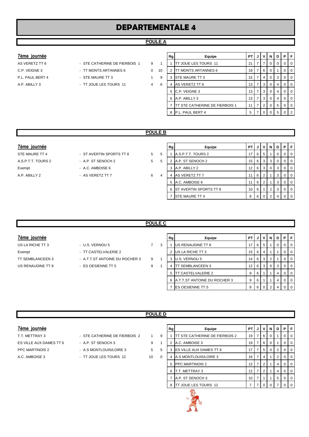# **DEPARTEMENTALE 4**

#### **POULE A**

#### $7$ ème journée

- C.P. VEIGNE 3 TT MONTS ARTANNES 6 0 10 P.L. PAUL BERT 4 - STE MAURE TT 3 4 0 3 A.P. ABILLY 3 - TT JOUE LES TOURS 11 4 6
- AS VERETZ TT 6  $\overline{S}$  STE CATHERINE DE FIERBOIS 1  $\overline{S}$  9 0 1
	- -

|   | Rg | Equipe                         | PT | J | ٧ | N        | D | Р        | F        |
|---|----|--------------------------------|----|---|---|----------|---|----------|----------|
|   |    | TT JOUE LES TOURS 11           | 21 | 7 | 7 | $\Omega$ | 0 | 0        | $\Omega$ |
|   | 2  | TT MONTS ARTANNES 6            | 19 | 7 | 6 | $\Omega$ | 1 | $\Omega$ | $\Omega$ |
|   | 3  | STE MAURE TT 3                 | 15 | 7 | 4 | $\Omega$ | 3 | $\Omega$ | $\Omega$ |
| ż | 4  | AS VERETZ TT 6                 | 13 | 7 | 3 | $\Omega$ | 4 | $\Omega$ | $\Omega$ |
|   | 5  | C.P. VEIGNE 3                  | 13 | 7 | 3 | $\Omega$ | 4 | 0        | $\Omega$ |
|   | 6  | A.P. ABILLY 3                  | 13 | 7 | 3 | $\Omega$ | 4 | 0        | 0        |
|   | 7  | TT STE CATHERINE DE FIERBOIS 1 | 11 | 7 | 2 | $\Omega$ | 5 | $\Omega$ | $\Omega$ |
|   | 8  | P.L. PAUL BERT 4               | 5  | 7 | 0 | $\Omega$ | 5 | $\Omega$ | 2        |
|   |    |                                |    |   |   |          |   |          |          |

#### **POULE B**

- STE MAURE TT 4 FOR THE ST AVERTIN SPORTS TT 8 A.S. P.T. TOURS 2 17 A.S. A.S.P.T.T. TOURS 2 - A.P. ST SENOCH 2 5 5
	- -

| 7ème journée       |                          |   |   | Rg | Equipe                   | <b>PT J V N</b>   |                |     |          | D I | PF               |
|--------------------|--------------------------|---|---|----|--------------------------|-------------------|----------------|-----|----------|-----|------------------|
| STE MAURE TT 4     | - ST AVERTIN SPORTS TT 8 | 5 | 5 |    | A.S.P.T.T. TOURS 2       | 17 $\blacksquare$ | 6              | l 5 |          | 0   | $01$ 0           |
| A.S.P.T.T. TOURS 2 | - A.P. ST SENOCH 2       | 5 | 5 |    | A.P. ST SENOCH 2         |                   | $15 \ 6 \ 3$   |     | 3        | 0   | $\overline{0}$   |
| Exempt             | - A.C. AMBOISE 6         |   |   |    | A.P. ABILLY 2            |                   | $12$ 6 3       |     | $\Omega$ | 3   | 0 <sub>0</sub>   |
| A.P. ABILLY 2      | - AS VERETZ TT 7         | 6 | 4 | 4  | AS VERETZ TT 7           |                   | 6              | l 2 |          | 3   | $01$ 0           |
|                    |                          |   |   |    | 5 A.C. AMBOISE 6         |                   | $\overline{6}$ |     |          | 3   | $\overline{1}$ 0 |
|                    |                          |   |   |    | 6 ST AVERTIN SPORTS TT 8 | $10 \mid 6 \mid$  |                |     | 2        | 3   | $01$ 0           |
|                    |                          |   |   |    | <b>STE MAURE TT 4</b>    |                   | 86             |     |          |     | $01$ 0           |

#### **POULE C**

#### $7$ ème journée

US LA RICHE TT 3 - U.S. VERNOU 5 7 3 Exempt - TT CASTELVALERIE 2

- 
- TT SEMBLANCEEN 3 A.T.T.ST ANTOINE DU ROCHER 3 9 1
- US RENAUDINE TT 8 ES OESIENNE TT 5 9 1

| Rg | Equipe                       | <b>PT</b> | J | v | N        | D | Р        | F        |
|----|------------------------------|-----------|---|---|----------|---|----------|----------|
|    | US RENAUDINE TT 8            | 17        | 6 | 5 |          | 0 | 0        | 0        |
| 2  | US LA RICHE TT 3             | 15        | 6 | 4 |          |   | 0        | $\Omega$ |
| 3  | U.S. VERNOU 5                | 14        | 6 | 3 | 2        |   | 0        | 0        |
| 4  | <b>TT SEMBLANCEEN 3</b>      | 12        | 6 | 3 | $\Omega$ | 3 | 0        | $\Omega$ |
| 5  | <b>TT CASTELVALERIE 2</b>    | 9         | 6 |   |          | 4 | $\Omega$ | $\Omega$ |
| 6  | A.T.T.ST ANTOINE DU ROCHER 3 | 9         | 6 |   |          | 4 | 0        | $\Omega$ |
|    | ES OESIENNE TT 5             | 8         | 6 |   | ≘        | 4 | 0        | O        |

#### **POULE D**

#### **7ème journée**

| T.T. METTRAY 3          |
|-------------------------|
| ES VILLE AUX DAMES TT 6 |
| <b>PPC MARTINOIS 2</b>  |
| A.C. AMBOISE 3          |

- STE CATHERINE DE FIERBOIS 2 1 9
- 
- 
- EX A.P. ST SENOCH 3 9 1
	-
- 
- A.S MONTLOUIS/LOIRE 3 5 5
	- TT JOUE LES TOURS 12 10 0

| TT STE CATHERINE DE FIERBOIS 2<br>A.C. AMBOISE 3 | 19<br>19 | 7 | 6              | O |   |   |          |
|--------------------------------------------------|----------|---|----------------|---|---|---|----------|
|                                                  |          |   |                |   |   | O | 0        |
|                                                  |          | 7 | 6              | 0 |   | O | $\Omega$ |
| ES VILLE AUX DAMES TT 6                          | 17       | 7 | 5              | 0 | 2 | O | $\Omega$ |
| A.S MONTLOUIS/LOIRE 3                            | 16       | 7 | 4              | 1 | 2 | 0 | $\Omega$ |
| <b>PPC MARTINOIS 2</b>                           | 12       | 7 | 2              | 1 | 4 | ŋ | $\Omega$ |
| T.T. METTRAY 3                                   | 12       | 7 | $\overline{2}$ |   | 4 | O | O        |
| A.P. ST SENOCH 3                                 | 10       | 7 |                |   | 5 | Ω | O        |
| TT JOUE LES TOURS 12                             | 7        | 7 | U              | n |   |   | O        |
|                                                  |          |   |                |   |   |   |          |

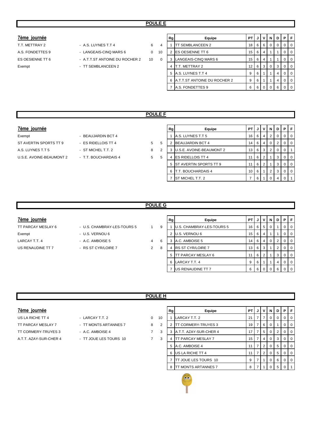#### **7ème journée**

ES OESIENNE TT 6  $-$  A.T.T.ST ANTOINE DU ROCHER 2  $-$  10  $-$  0

- T.T. METTRAY 2 A.S. LUYNES T.T 4 6 4
- A.S. FONDETTES 9 LANGEAIS-CINQ MARS 6 0 10

Exempt - TT SEMBLANCEEN 2

| Rg | Equipe                       | PT | J | v | N | D | Р |  |
|----|------------------------------|----|---|---|---|---|---|--|
|    | <b>TT SEMBLANCEEN 2</b>      | 18 | 6 | 6 | 0 | O | Ω |  |
| 2  | <b>ES OESIENNE TT 6</b>      | 15 | 6 | 4 | 1 |   |   |  |
| 3  | LANGEAIS-CINQ MARS 6         | 15 | 6 | 4 |   |   | Ω |  |
| 4  | <b>T.T. METTRAY 2</b>        | 12 | 6 | 3 | 0 | 3 | O |  |
| 5  | A.S. LUYNES T.T 4            | 9  | 6 |   |   | 4 | O |  |
| 6  | A.T.T.ST ANTOINE DU ROCHER 2 | 9  | 6 |   |   | 4 | O |  |
|    | A.S. FONDETTES 9             | 6  | 6 |   | O | 6 |   |  |

#### **POULE F**

#### **7ème journée**

Exempt - BEAUJARDIN BCT 4 ST AVERTIN SPORTS TT 9 - ES RIDELLOIS TT 4 5 A.S. LUYNES T.T 5 **Example 2** ST MICHEL T.T. 2 3 U.S.E. AVOINE-BEAUMONT 2 - T.T. BOUCHARDAIS 4 5

- 
- -

| Rg | Equipe                   | PT | J | v              | N        | D | Р | F |
|----|--------------------------|----|---|----------------|----------|---|---|---|
|    | A.S. LUYNES T.T 5        | 16 | 6 | 4              | 2        | O | Ω | 0 |
| 2  | <b>BEAUJARDIN BCT 4</b>  | 14 | 6 | 4              | $\Omega$ | 2 | 0 | 0 |
| 3  | U.S.E. AVOINE-BEAUMONT 2 | 13 | 6 | 3              | 2        | 0 | 0 |   |
| 4  | <b>ES RIDELLOIS TT 4</b> | 11 | 6 | 2              |          | 3 | 0 | 0 |
| 5  | ST AVERTIN SPORTS TT 9   | 11 | 6 | $\overline{2}$ |          | 3 | 0 | 0 |
| 6  | T.T. BOUCHARDAIS 4       | 10 | 6 | 1              | 2        | 3 | O | 0 |
|    | ST MICHEL T.T. 2         | 7  | 6 |                | n        | 4 |   |   |
|    |                          |    |   |                |          |   |   |   |

#### **POULE G**

- TT PARCAY MESLAY 6 U.S. CHAMBRAY-LES-TOURS 5 1 9
	-
	-
	-

| 7ème journée       |                             |   |   | Rg | Equipe                           | <b>PT</b> |    |                | N        | D I | PFI              |
|--------------------|-----------------------------|---|---|----|----------------------------------|-----------|----|----------------|----------|-----|------------------|
| TT PARCAY MESLAY 6 | - U.S. CHAMBRAY-LES-TOURS 5 |   | 9 |    | <b>U.S. CHAMBRAY-LES-TOURS 5</b> | 16        | -6 | 5'             | 0        |     | $0$   $0$        |
| Exempt             | - U.S. VERNOU 6             |   |   | 2  | U.S. VERNOU 6                    | 15        | -6 | 4              |          |     | $\overline{101}$ |
| LARCAY T.T. 4      | - A.C. AMBOISE 5            | 4 | 6 | 3  | A.C. AMBOISE 5                   | 14        | 6  | 4              | $\Omega$ |     | $0$   $0$        |
| US RENAUDINE TT 7  | - RS ST CYR/LOIRE 7         | 2 | 8 | 4  | <b>IRS ST CYR/LOIRE 7</b>        | 13        | -6 | 3              |          |     | $\overline{101}$ |
|                    |                             |   |   | 5  | <b>TT PARCAY MESLAY 6</b>        |           | -6 | $\overline{2}$ |          | 3   | $0$   $0$        |
|                    |                             |   |   |    | 6 LARCAY T.T. 4                  | 9         |    |                |          | 4   | $\overline{1}$ 0 |
|                    |                             |   |   |    | US RENAUDINE TT 7                | 6         |    |                | $\Omega$ | 6   | 0 1 0            |

#### **POULE H**

| reme | Tournee |
|------|---------|
|      |         |
|      |         |

- US LA RICHE TT 4 LARCAY T.T. 2 0 1 TT PARCAY MESLAY 7 - TT MONTS ARTANNES 7 8 TT CORMERY-TRUYES 3 - A.C. AMBOISE 4 7 A.T.T. AZAY-SUR-CHER 4 - TT JOUE LES TOURS 10
	-
	- -

| 7ème journée           |                        |   |    | Rg | Equipe                      | PTIJI             |                            | $\mathsf{v}$   | N           | D | PIF |                |
|------------------------|------------------------|---|----|----|-----------------------------|-------------------|----------------------------|----------------|-------------|---|-----|----------------|
| US LA RICHE TT 4       | - LARCAY T.T. 2        | 0 | 10 |    | LARCAY T.T. 2               | 21                |                            |                | 0           | 0 |     | 0 <sup>1</sup> |
| TT PARCAY MESLAY 7     | - TT MONTS ARTANNES 7  | 8 | 2  |    | <b>TT CORMERY-TRUYES 3</b>  |                   | $19$   $7$                 | - 6 I          | - 0         |   |     | $0$   0        |
| TT CORMERY-TRUYES 3    | - A.C. AMBOISE 4       | 7 | 3  |    | A.T.T. AZAY-SUR-CHER 4      | 17 $\blacksquare$ |                            | 5              | - 0         | 2 |     | 0 <sub>0</sub> |
| A.T.T. AZAY-SUR-CHER 4 | - TT JOUE LES TOURS 10 | 7 | 3  | 4  | TT PARCAY MESLAY 7          | 15 <sup>1</sup>   | $\overline{7}$             | 4              | - 0         | 3 |     | $0$   0        |
|                        |                        |   |    |    | 5 A.C. AMBOISE 4            |                   | $\overline{7}$<br><b>T</b> | <sup>2</sup>   | $\mathbf 0$ | 5 |     | $0 \mid 0$     |
|                        |                        |   |    | 6  | US LA RICHE TT 4            |                   |                            | 2 <sup>1</sup> | 0           | 5 |     | 0 <sup>1</sup> |
|                        |                        |   |    |    | TT JOUE LES TOURS 10        | 9                 |                            |                | 0           | 6 |     | 0 <sup>1</sup> |
|                        |                        |   |    | 8  | <b>ITT MONTS ARTANNES 7</b> | 8                 |                            |                |             | 5 |     |                |

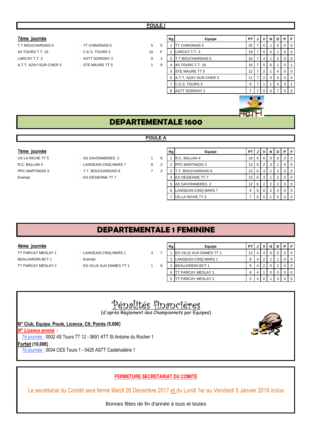#### **7ème journée**

## 4S TOURS T.T. 16 - C.E.S. TOURS 3 10 LARCAY T.T. 3 **EXECUTE:** ASTT SORIGNY 2 16 16 17 18 16 17 17 18 16 17 18 16 17 18 16 17 16 17 16 17 16 17 16 17 16 17 16 17 16 17 16 17 16 17 16 17 16 17 16 17 16 17 16 17 16 17 16 17 16 17 16 17 16 17 16 17 16 17 16 17 16 A.T.T. AZAY-SUR-CHER 3 - STE MAURE TT 5 1

# T.T BOUCHARDAIS 5 - TT CHINONAIS 5 5 5

|   | Rg             | Equipe                 | PТ | J                 | ٧              | N        | D            | Р        | F |
|---|----------------|------------------------|----|-------------------|----------------|----------|--------------|----------|---|
| 5 |                | <b>TT CHINONAIS 5</b>  | 20 | 7                 | 6              | 1        | 0            | $\Omega$ | O |
| F | $\overline{2}$ | LARCAY T.T. 3          | 19 | 7                 | 6              | $\Omega$ | $\mathbf{1}$ | 0        | 0 |
| 1 | 3              | T.T BOUCHARDAIS 5      | 16 | 7                 | 4              | 1        | 2            | 0        | 0 |
| 9 | 4              | 4S TOURS T.T. 16       | 16 | 7                 | 5              | $\Omega$ | 1            | 0        |   |
|   | 5              | STE MAURE TT 5         | 12 | 7                 | $\overline{2}$ | 1        | 4            | 0        | 0 |
|   | 6              | A.T.T. AZAY-SUR-CHER 3 | 11 | 7                 | $\overline{2}$ | $\Omega$ | 5            | 0        | 0 |
|   | 7              | C.E.S. TOURS 3         | 9  | 7                 | 1              | 1        | 4            | $\Omega$ |   |
|   | 8              | <b>ASTT SORIGNY 2</b>  | 7  | 7                 | $\Omega$       | 0        | 7            | 0        |   |
|   |                |                        |    | $\sim$ 0.4 $\sim$ |                |          |              |          |   |

# **DEPARTEMENTALE 1600**

#### **POULE A**

- US LA RICHE TT 5 AS SAVONNIERES 2 1 9
	-
	-
	-

| 7ème journée     |                        |   |   | Rg | Equipe                    | <b>PT</b>       |     | JIVI           | <b>N</b> | D |          | <b>P</b> F     |
|------------------|------------------------|---|---|----|---------------------------|-----------------|-----|----------------|----------|---|----------|----------------|
| US LA RICHE TT 5 | - AS SAVONNIERES 2     |   | 9 |    | <b>R.C. BALLAN 4</b>      | 18              | 6   | - 6 I          | - 0      | 0 |          | $\overline{0}$ |
| R.C. BALLAN 4    | - LANGEAIS-CINQ MARS 7 | 8 | 2 |    | <b>PPC MARTINOIS 3</b>    | 13 <sup>1</sup> |     | 6 2 1          | 3        |   | $\Omega$ | $\overline{0}$ |
| PPC MARTINOIS 3  | - T.T. BOUCHARDAIS 6   |   | 3 |    | <b>T.T. BOUCHARDAIS 6</b> | 13 <sup>1</sup> | 6 3 |                |          |   |          | $\overline{0}$ |
| Exempt           | - ES OESIENNE TT 7     |   |   |    | <b>IES OESIENNE TT 7</b>  | 13              | 6   | l 3            |          | 2 |          | $\overline{0}$ |
|                  |                        |   |   |    | 5 AS SAVONNIERES 2        | 12 <sub>1</sub> | 6   |                |          |   |          | $\overline{0}$ |
|                  |                        |   |   |    | LANGEAIS-CINQ MARS 7      | 8               | 6   | $\overline{0}$ | -2       | 4 |          | $\overline{0}$ |
|                  |                        |   |   |    | US LA RICHE TT 5          |                 | 6   |                |          | 5 |          | $01$ 0         |

# **DEPARTEMENTALE 1 FEMININE**

#### **4ème journée**

- TT PARCAY MESLAY 1 LANGEAIS-CINQ MARS 1 3 BEAUJARDIN BCT 1 - Exempt TT PARCAY MESLAY 2 - ES VILLE AUX DAMES TT 1 9
	-
	-
	-
- 
- 

|   | Rg | Equipe                  | P1 |   |   |   | D | P |  |
|---|----|-------------------------|----|---|---|---|---|---|--|
| 7 |    | ES VILLE AUX DAMES TT 1 | 12 | 4 | 4 | 0 | Ω |   |  |
|   | 2  | LANGEAIS-CINQ MARS 1    | 9  | 4 | 2 |   |   |   |  |
| 9 | 3  | <b>BEAUJARDIN BCT 1</b> | 8  | 4 | 2 | 0 | 2 |   |  |
|   | 4  | TT PARCAY MESLAY 1      | 6  | 4 |   |   | 3 |   |  |
|   | 5  | T PARCAY MESLAY 2       | 5  | 4 | 0 |   | 3 |   |  |

# Pénalités financières

(d'après Règlement des Championnats par Equipes)

**N° Club, Equipe, Poule, Licence, Clt, Points (5,00€)**

*N° Licence erroné :* 

7è journée : 0002 4S Tours TT 12 - 0691 ATT St Antoine du Rocher 1

**Forfait (10,00€)**

7è journée : 0004 CES Tours 1 - 0425 ASTT Castelvalérie 1

## **FERMETURE SECRETARIAT DU COMITE**

Le secrétariat du Comité sera fermé Mardi 26 Décembre 2017 et du Lundi 1er au Vendredi 5 Janvier 2018 inclus

Bonnes fêtes de fin d'année à tous et toutes

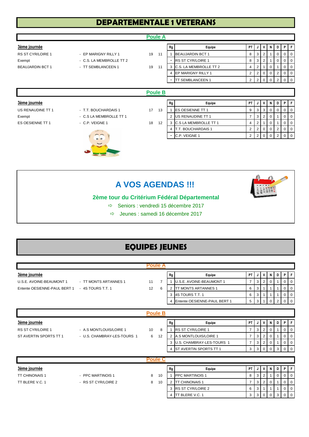# **DEPARTEMENTALE 1 VETERANS**

|                         |                          |    | <b>Poule A</b> |                          |                           |                |                |                |                |                |                |                |
|-------------------------|--------------------------|----|----------------|--------------------------|---------------------------|----------------|----------------|----------------|----------------|----------------|----------------|----------------|
| 3ème journée            |                          |    |                | Rg                       | Equipe                    | PT             | <b>J</b>       | v              | N              | D              | P              | F              |
| RS ST CYR/LOIRE 1       | - EP MARIGNY RILLY 1     | 19 | 11             |                          | <b>BEAUJARDIN BCT 1</b>   | 8              | 3              | $\overline{2}$ |                | 0              | 0              | 0              |
| Exempt                  | - C.S. LA MEMBROLLE TT 2 |    |                | $\blacksquare$           | <b>RS ST CYR/LOIRE 1</b>  | 8              | 3              | $\overline{2}$ |                | 0              | 0              | 0              |
| <b>BEAUJARDIN BCT 1</b> | - TT SEMBLANCEEN 1       | 19 | 11             |                          | 3 C.S. LA MEMBROLLE TT 2  | $\overline{4}$ | $\overline{2}$ |                | 0              |                | 0              | 0              |
|                         |                          |    |                | $\overline{4}$           | EP MARIGNY RILLY 1        | $\overline{2}$ | $\overline{2}$ | 0              | 0              | 2              | 0              | $\overline{0}$ |
|                         |                          |    |                | $\blacksquare$           | <b>TT SEMBLANCEEN 1</b>   | $\overline{2}$ | $\overline{2}$ | $\mathbf{0}$   | $\overline{0}$ | $\overline{2}$ |                | $0 \mid 0$     |
|                         |                          |    |                |                          |                           |                |                |                |                |                |                |                |
|                         |                          |    | <b>Poule B</b> |                          |                           |                |                |                |                |                |                |                |
| 3ème journée            |                          |    |                | Rg                       | Equipe                    | PT.            |                | V              | N              | D I            |                | PF             |
| US RENAUDINE TT 1       | - T.T. BOUCHARDAIS 1     | 17 | 13             |                          | ES OESIENNE TT 1          | 9              | 3              | 3              | $\mathbf 0$    | $\Omega$       | 0              | $\overline{0}$ |
| Exempt                  | - C.S LA MEMBROLLE TT 1  |    |                | 2                        | US RENAUDINE TT 1         | $\overline{7}$ | 3              | $\overline{2}$ | 0              |                | 0              | $\overline{0}$ |
| ES OESIENNE TT 1        | - C.P. VEIGNE 1          | 18 | 12             |                          | 3 C.S LA MEMBROLLE TT 1   | $\overline{4}$ | $\overline{2}$ |                | $\mathbf 0$    |                | 0              | $\overline{0}$ |
|                         | <b>REATION</b>           |    |                | $\overline{4}$           | <b>T.T. BOUCHARDAIS 1</b> | $\overline{2}$ | $\overline{2}$ | 0              | 0              | $\overline{2}$ | 0              | $\overline{0}$ |
|                         | 00<br>$\sim$             |    |                | $\overline{\phantom{a}}$ | C.P. VEIGNE 1             | $\overline{2}$ | $\overline{2}$ | $\mathbf 0$    | $\overline{0}$ | 2              | 0 <sup>1</sup> | $\overline{0}$ |

# **A VOS AGENDAS !!!**

ESIM

## **2ème tour du Critérium Fédéral Départemental**

- $\Rightarrow$  Seniors : vendredi 15 décembre 2017
- Jeunes : samedi 16 décembre 2017

# **EQUIPES JEUNES**

|                              |                             | <b>Poule A</b> |    |                |                                 |                |                |                |              |                |                |                |
|------------------------------|-----------------------------|----------------|----|----------------|---------------------------------|----------------|----------------|----------------|--------------|----------------|----------------|----------------|
| 3ème journée                 |                             |                |    | Rg             | Equipe                          | <b>PT</b>      | J              | V              | N            | D              | P.             | l F            |
| U.S.E. AVOINE-BEAUMONT 1     | - TT MONTS ARTANNES 1       | 11             | 7  |                | <b>U.S.E. AVOINE-BEAUMONT 1</b> | $\overline{7}$ | 3              | $\overline{2}$ | 0            |                | 0              | 0              |
| Entente OESIENNE-PAUL BERT 1 | $-4S$ TOURS T.T. 1          | 12             | 6  | 2              | <b>TT MONTS ARTANNES 1</b>      | 6              | 3              |                |              |                | 0              | 0              |
|                              |                             |                |    | 3              | 4S TOURS T.T. 1                 | 6              | 3              |                |              |                | 0              | $\overline{0}$ |
|                              |                             |                |    | $\overline{4}$ | Entente OESIENNE-PAUL BERT 1    | 5              | 3 <sup>1</sup> | 1              | 0            | 2 <sup>1</sup> | $\overline{0}$ | l 0            |
|                              |                             |                |    |                |                                 |                |                |                |              |                |                |                |
|                              |                             | <b>Poule B</b> |    |                |                                 |                |                |                |              |                |                |                |
| 3ème journée                 |                             |                |    | Rg             | Equipe                          | PT             | J              | ٧              | N            | D              |                | PF             |
| <b>RS ST CYR/LOIRE 1</b>     | - A.S MONTLOUIS/LOIRE 1     | 10             | 8  |                | <b>RS ST CYR/LOIRE 1</b>        | $\overline{7}$ | 3              | $\overline{2}$ | 0            |                | 0              | 0              |
| ST AVERTIN SPORTS TT 1       | - U.S. CHAMBRAY-LES-TOURS 1 | 6              | 12 |                | 2 A.S MONTLOUIS/LOIRE 1         | $\overline{7}$ | 3              | $\overline{2}$ | 0            |                | 0              | 0              |
|                              |                             |                |    |                | 3 U.S. CHAMBRAY-LES-TOURS 1     | $\overline{7}$ | 3              | $\overline{2}$ | 0            |                | 0              | 0              |
|                              |                             |                |    | 4              | ST AVERTIN SPORTS TT 1          | 3              | $\mathbf{3}$   | $\mathbf 0$    | 0            | 3              | $\Omega$       | $\overline{0}$ |
|                              |                             | <b>Poule C</b> |    |                |                                 |                |                |                |              |                |                |                |
|                              |                             |                |    |                |                                 |                |                |                |              |                |                |                |
| 3ème journée                 |                             |                |    | Rg             | Equipe                          | <b>PT</b>      | J              | ٧              | N            | D              | P.             | F              |
| <b>TT CHINONAIS 1</b>        | - PPC MARTINOIS 1           | 8              | 10 |                | <b>PPC MARTINOIS 1</b>          | 8              | 3              | $\overline{2}$ |              | $\mathbf 0$    | 0              | 0              |
| TT BLERE V.C. 1              | - RS ST CYR/LOIRE 2         | 8              | 10 | $\overline{2}$ | <b>TT CHINONAIS 1</b>           | $\overline{7}$ | 3              | $\overline{2}$ | 0            |                | 0              | $\Omega$       |
|                              |                             |                |    |                | 3 RS ST CYR/LOIRE 2             | 6              |                | $3 \mid 1$     | $\mathbf{1}$ | $\mathbf{1}$   | $\mathbf{0}$   | $\mathbf{0}$   |

4 TT BLERE V.C. 1 3 3 0 0 3 0 0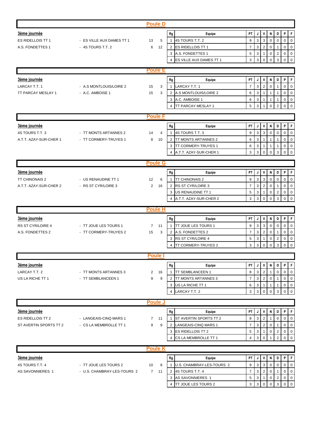| 3ème journée<br>PT<br>V<br>N<br>PF<br>Rg<br>Equipe<br>J<br>D<br>4S TOURS T.T. 2<br>9<br>3<br>3<br>$\mathbf 0$<br>ES RIDELLOIS TT 1<br>$\Omega$<br>$\mathbf 0$<br>$\Omega$<br>- ES VILLE AUX DAMES TT 1<br>13<br>5<br>$\mathbf{1}$<br>$\mathbf{3}$<br>0<br>A.S. FONDETTES 1<br>- 4S TOURS T.T. 2<br>6<br>12<br><b>ES RIDELLOIS TT 1</b><br>$\overline{7}$<br>$\overline{2}$<br>0<br>$\overline{0}$<br>2<br>$\mathbf{1}$<br>A.S. FONDETTES 1<br>5<br>3<br>$\boldsymbol{2}$<br>0<br>3<br>$\mathbf{1}$<br>$\mathbf 0$<br>$\overline{0}$<br>ES VILLE AUX DAMES TT 1<br>3<br>3<br>$\mathbf 0$<br>$\mathbf 0$<br>3<br>$\mathbf 0$<br>$\overline{0}$<br>$\overline{4}$<br><b>Poule E</b><br>$P$ $F$<br>3ème journée<br>PT<br>V<br>N<br>D<br>Rg<br>Equipe<br>J<br>$\overline{7}$<br>3<br>$\overline{2}$<br>$\mathbf 0$<br>$\mathbf 0$<br>LARCAY T.T. 1<br>- A.S MONTLOUIS/LOIRE 2<br>LARCAY T.T. 1<br>0<br>15<br>3<br>$\mathbf{1}$<br>2 A.S MONTLOUIS/LOIRE 2<br>TT PARCAY MESLAY 1<br>- A.C. AMBOISE 1<br>15<br>3<br>6<br>3<br>$\mathbf 0$<br>$\mathbf{1}$<br>0<br>1<br>3 A.C. AMBOISE 1<br>6<br>3<br>$\mathbf 0$<br>$\mathbf{1}$<br>$\mathbf 0$<br>5<br>TT PARCAY MESLAY 1<br>3<br>$\mathbf 0$<br>$\overline{2}$<br>0<br>$\Omega$<br><b>Poule F</b><br>PT<br>V<br>N<br>D<br>P<br>l F<br>Rg<br>J<br>Equipe<br>$\mathbf{3}$<br>4S TOURS T.T. 3<br>9<br>3<br>0<br>4S TOURS T.T. 3<br>- TT MONTS ARTANNES 2<br>14<br>$\mathbf{1}$<br>$\mathbf 0$<br>$\mathbf 0$<br>$\overline{0}$<br>4<br>6<br><b>TT MONTS ARTANNES 2</b><br>$\mathbf{3}$<br>$\mathbf 0$<br>$\overline{0}$<br>A.T.T. AZAY-SUR-CHER 1<br>- TT CORMERY-TRUYES 1<br>8<br>10<br>$\overline{2}$<br>$\mathbf{1}$<br>1<br><b>TT CORMERY-TRUYES 1</b><br>6<br>3<br>3<br>$\mathbf{1}$<br>0<br>$\mathbf 0$<br>1<br>A.T.T. AZAY-SUR-CHER 1<br>3<br>3<br>$\Omega$<br>$\Omega$<br>4<br>$\Omega$<br>3<br>$\Omega$<br><b>Poule G</b><br>3ème journée<br>l F<br>Rg<br>Equipe<br>PT<br>J<br>V<br>Ν<br>D<br>P<br>$\mathbf{3}$<br>$\mathbf{3}$<br>9<br>$\mathsf 0$<br>$\mathbf 0$<br>0<br><b>TT CHINONAIS 2</b><br>- US RENAUDINE TT 1<br>$\mathbf{1}$<br><b>TT CHINONAIS 2</b><br>$\overline{0}$<br>12<br>6<br>$\mathbf{3}$<br>$\overline{2}$<br>2 RS ST CYR/LOIRE 3<br>$\overline{7}$<br>$\mathbf 0$<br>A.T.T. AZAY-SUR-CHER 2<br>- RS ST CYR/LOIRE 3<br>$\overline{2}$<br>16<br>$\mathbf 0$<br>$\overline{0}$<br>3 US RENAUDINE TT 1<br>5<br>3<br>$\mathbf{1}$<br>0<br>$\overline{2}$<br>$\mathbf 0$<br>$\overline{0}$<br>3<br>A.T.T. AZAY-SUR-CHER 2<br>3<br>$\mathbf 0$<br>$\Omega$<br>3<br>$\Omega$<br>0<br><b>Poule H</b><br>3ème journée<br>PT<br>N<br>P<br>F<br>Rg<br>J<br>V<br>D<br>Equipe<br>$\mathbf{3}$<br>$\mathbf{3}$<br>0<br>RS ST CYR/LOIRE 4<br>$\mathbf{1}$<br><b>TT JOUE LES TOURS 1</b><br>9<br>$\mathbf 0$<br>$\mathbf 0$<br>$\overline{0}$<br>- TT JOUE LES TOURS 1<br>11<br>7<br>$\mathbf{3}$<br>$\overline{2}$<br>$\overline{7}$<br>$\mathsf 0$<br>0<br>A.S. FONDETTES 2<br>- TT CORMERY-TRUYES 2<br>15<br>2 A.S. FONDETTES 2<br>$\overline{0}$<br>3<br>1<br>3<br>3 RS ST CYR/LOIRE 4<br>5<br>$\mathbf{1}$<br>0<br>$\overline{\mathbf{c}}$<br>$\mathbf 0$<br>$\overline{0}$<br>3<br>$\overline{4}$<br><b>TT CORMERY-TRUYES 2</b><br>3<br>$\Omega$<br>3<br>$\Omega$<br>$\Omega$<br>$\Omega$<br><b>Poule I</b><br>3ème journée<br>PT<br>P<br>Rg<br>J<br>V<br>N<br>D<br>l F<br>Equipe<br>$\overline{2}$<br>LARCAY T.T. 2<br>3<br>- TT MONTS ARTANNES 3<br>$\mathbf{1}$<br><b>TT SEMBLANCEEN 1</b><br>8<br>$\mathbf 0$<br>$\mathbf 0$<br>$\mathbf 0$<br>2<br>16<br>$\mathbf{3}$<br>$\overline{7}$<br>$\overline{2}$<br>0<br>$\overline{0}$<br>US LA RICHE TT 1<br>9<br><b>TT MONTS ARTANNES 3</b><br>0<br>- TT SEMBLANCEEN 1<br>9<br>2<br>1<br>$\mathsf 3$<br>0<br>US LA RICHE TT 1<br>6<br>$\mathbf{1}$<br>$\overline{0}$<br>3<br>1<br>1<br>3<br>LARCAY T.T. 2<br>3<br>$\mathbf 0$<br>$\mathbf 0$<br>3<br>0<br>$\overline{0}$<br>4<br><b>Poule J</b><br><b>3ème journée</b><br>PF<br>Rg<br>PT J<br>V<br>N<br>D<br>Equipe<br>3<br>$\overline{2}$<br>ST AVERTIN SPORTS TT 2<br>8<br>ES RIDELLOIS TT 2<br>0<br>0<br>$\overline{0}$<br>- LANGEAIS-CINQ MARS 1<br>$7 \quad 11$<br>$\mathbf{1}$<br>1<br>3<br>$\overline{2}$<br>ST AVERTIN SPORTS TT 2<br>- CS LA MEMBROLLE TT 1<br>9<br>2 LANGEAIS-CINQ MARS 1<br>$\overline{7}$<br>$\mathbf 0$<br>0<br>$\mathbf 0$<br>9<br>$\mathbf{1}$<br>5<br>3<br>$\overline{c}$<br>$\overline{0}$<br>3 ES RIDELLOIS TT 2<br>$\mathbf{1}$<br>$\mathbf 0$<br>0<br>3<br>$\overline{2}$<br>$\overline{0}$<br>$\overline{4}$<br>CS LA MEMBROLLE TT 1<br>4<br>$\mathbf 0$<br>0<br><b>Poule K</b><br>3ème journée<br>PT<br>Rg<br>V<br>D<br>P<br>l F<br>Equipe<br>J<br>Ν<br>$\mathbf{3}$<br>3<br>4S TOURS T.T. 4<br>- TT JOUE LES TOURS 2<br>U.S. CHAMBRAY-LES-TOURS 2<br>9<br>$\mathbf 0$<br>$\mathbf 0$<br>$\mathbf 0$<br>$\overline{0}$<br>10<br>$\mathbf{1}$<br>8<br>3<br>$\overline{2}$<br>$\overline{7}$<br>$7 11$<br>2 4S TOURS T.T. 4<br>0<br>0<br>$\mathbf 0$<br>AS SAVONNIERES 1<br>- U.S. CHAMBRAY-LES-TOURS 2<br>1<br>AS SAVONNIERES 1<br>5<br>3<br>$\mathbf 0$<br>3<br>$\mathbf{1}$<br>0<br>2<br>0<br><b>TT JOUE LES TOURS 2</b><br>3<br>3<br>$\mathbf 0$<br>3<br>$\mathbf 0$<br>$\overline{0}$<br>$\overline{4}$<br>$\Omega$ |              | <b>Poule D</b> |  |
|---------------------------------------------------------------------------------------------------------------------------------------------------------------------------------------------------------------------------------------------------------------------------------------------------------------------------------------------------------------------------------------------------------------------------------------------------------------------------------------------------------------------------------------------------------------------------------------------------------------------------------------------------------------------------------------------------------------------------------------------------------------------------------------------------------------------------------------------------------------------------------------------------------------------------------------------------------------------------------------------------------------------------------------------------------------------------------------------------------------------------------------------------------------------------------------------------------------------------------------------------------------------------------------------------------------------------------------------------------------------------------------------------------------------------------------------------------------------------------------------------------------------------------------------------------------------------------------------------------------------------------------------------------------------------------------------------------------------------------------------------------------------------------------------------------------------------------------------------------------------------------------------------------------------------------------------------------------------------------------------------------------------------------------------------------------------------------------------------------------------------------------------------------------------------------------------------------------------------------------------------------------------------------------------------------------------------------------------------------------------------------------------------------------------------------------------------------------------------------------------------------------------------------------------------------------------------------------------------------------------------------------------------------------------------------------------------------------------------------------------------------------------------------------------------------------------------------------------------------------------------------------------------------------------------------------------------------------------------------------------------------------------------------------------------------------------------------------------------------------------------------------------------------------------------------------------------------------------------------------------------------------------------------------------------------------------------------------------------------------------------------------------------------------------------------------------------------------------------------------------------------------------------------------------------------------------------------------------------------------------------------------------------------------------------------------------------------------------------------------------------------------------------------------------------------------------------------------------------------------------------------------------------------------------------------------------------------------------------------------------------------------------------------------------------------------------------------------------------------------------------------------------------------------------------------------------------------------------------------------------------------------------------------------------------------------------------------------------------------------------------------------------------------------------------------------------------------------------------------------------------------------------------------------------------------------------------------------------------------------------------------------------------------------------------------------------------------------------------------------------------------------------------------------------------------------------------------------------------------------------------------------------------------------------------------------------------------------------------------------------------------------------------------------------------------------------------------------------------------------------------------------------------------------------------------------------------------------------------|--------------|----------------|--|
|                                                                                                                                                                                                                                                                                                                                                                                                                                                                                                                                                                                                                                                                                                                                                                                                                                                                                                                                                                                                                                                                                                                                                                                                                                                                                                                                                                                                                                                                                                                                                                                                                                                                                                                                                                                                                                                                                                                                                                                                                                                                                                                                                                                                                                                                                                                                                                                                                                                                                                                                                                                                                                                                                                                                                                                                                                                                                                                                                                                                                                                                                                                                                                                                                                                                                                                                                                                                                                                                                                                                                                                                                                                                                                                                                                                                                                                                                                                                                                                                                                                                                                                                                                                                                                                                                                                                                                                                                                                                                                                                                                                                                                                                                                                                                                                                                                                                                                                                                                                                                                                                                                                                                                                                                           |              |                |  |
|                                                                                                                                                                                                                                                                                                                                                                                                                                                                                                                                                                                                                                                                                                                                                                                                                                                                                                                                                                                                                                                                                                                                                                                                                                                                                                                                                                                                                                                                                                                                                                                                                                                                                                                                                                                                                                                                                                                                                                                                                                                                                                                                                                                                                                                                                                                                                                                                                                                                                                                                                                                                                                                                                                                                                                                                                                                                                                                                                                                                                                                                                                                                                                                                                                                                                                                                                                                                                                                                                                                                                                                                                                                                                                                                                                                                                                                                                                                                                                                                                                                                                                                                                                                                                                                                                                                                                                                                                                                                                                                                                                                                                                                                                                                                                                                                                                                                                                                                                                                                                                                                                                                                                                                                                           |              |                |  |
|                                                                                                                                                                                                                                                                                                                                                                                                                                                                                                                                                                                                                                                                                                                                                                                                                                                                                                                                                                                                                                                                                                                                                                                                                                                                                                                                                                                                                                                                                                                                                                                                                                                                                                                                                                                                                                                                                                                                                                                                                                                                                                                                                                                                                                                                                                                                                                                                                                                                                                                                                                                                                                                                                                                                                                                                                                                                                                                                                                                                                                                                                                                                                                                                                                                                                                                                                                                                                                                                                                                                                                                                                                                                                                                                                                                                                                                                                                                                                                                                                                                                                                                                                                                                                                                                                                                                                                                                                                                                                                                                                                                                                                                                                                                                                                                                                                                                                                                                                                                                                                                                                                                                                                                                                           |              |                |  |
|                                                                                                                                                                                                                                                                                                                                                                                                                                                                                                                                                                                                                                                                                                                                                                                                                                                                                                                                                                                                                                                                                                                                                                                                                                                                                                                                                                                                                                                                                                                                                                                                                                                                                                                                                                                                                                                                                                                                                                                                                                                                                                                                                                                                                                                                                                                                                                                                                                                                                                                                                                                                                                                                                                                                                                                                                                                                                                                                                                                                                                                                                                                                                                                                                                                                                                                                                                                                                                                                                                                                                                                                                                                                                                                                                                                                                                                                                                                                                                                                                                                                                                                                                                                                                                                                                                                                                                                                                                                                                                                                                                                                                                                                                                                                                                                                                                                                                                                                                                                                                                                                                                                                                                                                                           |              |                |  |
|                                                                                                                                                                                                                                                                                                                                                                                                                                                                                                                                                                                                                                                                                                                                                                                                                                                                                                                                                                                                                                                                                                                                                                                                                                                                                                                                                                                                                                                                                                                                                                                                                                                                                                                                                                                                                                                                                                                                                                                                                                                                                                                                                                                                                                                                                                                                                                                                                                                                                                                                                                                                                                                                                                                                                                                                                                                                                                                                                                                                                                                                                                                                                                                                                                                                                                                                                                                                                                                                                                                                                                                                                                                                                                                                                                                                                                                                                                                                                                                                                                                                                                                                                                                                                                                                                                                                                                                                                                                                                                                                                                                                                                                                                                                                                                                                                                                                                                                                                                                                                                                                                                                                                                                                                           |              |                |  |
|                                                                                                                                                                                                                                                                                                                                                                                                                                                                                                                                                                                                                                                                                                                                                                                                                                                                                                                                                                                                                                                                                                                                                                                                                                                                                                                                                                                                                                                                                                                                                                                                                                                                                                                                                                                                                                                                                                                                                                                                                                                                                                                                                                                                                                                                                                                                                                                                                                                                                                                                                                                                                                                                                                                                                                                                                                                                                                                                                                                                                                                                                                                                                                                                                                                                                                                                                                                                                                                                                                                                                                                                                                                                                                                                                                                                                                                                                                                                                                                                                                                                                                                                                                                                                                                                                                                                                                                                                                                                                                                                                                                                                                                                                                                                                                                                                                                                                                                                                                                                                                                                                                                                                                                                                           |              |                |  |
|                                                                                                                                                                                                                                                                                                                                                                                                                                                                                                                                                                                                                                                                                                                                                                                                                                                                                                                                                                                                                                                                                                                                                                                                                                                                                                                                                                                                                                                                                                                                                                                                                                                                                                                                                                                                                                                                                                                                                                                                                                                                                                                                                                                                                                                                                                                                                                                                                                                                                                                                                                                                                                                                                                                                                                                                                                                                                                                                                                                                                                                                                                                                                                                                                                                                                                                                                                                                                                                                                                                                                                                                                                                                                                                                                                                                                                                                                                                                                                                                                                                                                                                                                                                                                                                                                                                                                                                                                                                                                                                                                                                                                                                                                                                                                                                                                                                                                                                                                                                                                                                                                                                                                                                                                           |              |                |  |
|                                                                                                                                                                                                                                                                                                                                                                                                                                                                                                                                                                                                                                                                                                                                                                                                                                                                                                                                                                                                                                                                                                                                                                                                                                                                                                                                                                                                                                                                                                                                                                                                                                                                                                                                                                                                                                                                                                                                                                                                                                                                                                                                                                                                                                                                                                                                                                                                                                                                                                                                                                                                                                                                                                                                                                                                                                                                                                                                                                                                                                                                                                                                                                                                                                                                                                                                                                                                                                                                                                                                                                                                                                                                                                                                                                                                                                                                                                                                                                                                                                                                                                                                                                                                                                                                                                                                                                                                                                                                                                                                                                                                                                                                                                                                                                                                                                                                                                                                                                                                                                                                                                                                                                                                                           |              |                |  |
|                                                                                                                                                                                                                                                                                                                                                                                                                                                                                                                                                                                                                                                                                                                                                                                                                                                                                                                                                                                                                                                                                                                                                                                                                                                                                                                                                                                                                                                                                                                                                                                                                                                                                                                                                                                                                                                                                                                                                                                                                                                                                                                                                                                                                                                                                                                                                                                                                                                                                                                                                                                                                                                                                                                                                                                                                                                                                                                                                                                                                                                                                                                                                                                                                                                                                                                                                                                                                                                                                                                                                                                                                                                                                                                                                                                                                                                                                                                                                                                                                                                                                                                                                                                                                                                                                                                                                                                                                                                                                                                                                                                                                                                                                                                                                                                                                                                                                                                                                                                                                                                                                                                                                                                                                           |              |                |  |
|                                                                                                                                                                                                                                                                                                                                                                                                                                                                                                                                                                                                                                                                                                                                                                                                                                                                                                                                                                                                                                                                                                                                                                                                                                                                                                                                                                                                                                                                                                                                                                                                                                                                                                                                                                                                                                                                                                                                                                                                                                                                                                                                                                                                                                                                                                                                                                                                                                                                                                                                                                                                                                                                                                                                                                                                                                                                                                                                                                                                                                                                                                                                                                                                                                                                                                                                                                                                                                                                                                                                                                                                                                                                                                                                                                                                                                                                                                                                                                                                                                                                                                                                                                                                                                                                                                                                                                                                                                                                                                                                                                                                                                                                                                                                                                                                                                                                                                                                                                                                                                                                                                                                                                                                                           |              |                |  |
|                                                                                                                                                                                                                                                                                                                                                                                                                                                                                                                                                                                                                                                                                                                                                                                                                                                                                                                                                                                                                                                                                                                                                                                                                                                                                                                                                                                                                                                                                                                                                                                                                                                                                                                                                                                                                                                                                                                                                                                                                                                                                                                                                                                                                                                                                                                                                                                                                                                                                                                                                                                                                                                                                                                                                                                                                                                                                                                                                                                                                                                                                                                                                                                                                                                                                                                                                                                                                                                                                                                                                                                                                                                                                                                                                                                                                                                                                                                                                                                                                                                                                                                                                                                                                                                                                                                                                                                                                                                                                                                                                                                                                                                                                                                                                                                                                                                                                                                                                                                                                                                                                                                                                                                                                           |              |                |  |
|                                                                                                                                                                                                                                                                                                                                                                                                                                                                                                                                                                                                                                                                                                                                                                                                                                                                                                                                                                                                                                                                                                                                                                                                                                                                                                                                                                                                                                                                                                                                                                                                                                                                                                                                                                                                                                                                                                                                                                                                                                                                                                                                                                                                                                                                                                                                                                                                                                                                                                                                                                                                                                                                                                                                                                                                                                                                                                                                                                                                                                                                                                                                                                                                                                                                                                                                                                                                                                                                                                                                                                                                                                                                                                                                                                                                                                                                                                                                                                                                                                                                                                                                                                                                                                                                                                                                                                                                                                                                                                                                                                                                                                                                                                                                                                                                                                                                                                                                                                                                                                                                                                                                                                                                                           |              |                |  |
|                                                                                                                                                                                                                                                                                                                                                                                                                                                                                                                                                                                                                                                                                                                                                                                                                                                                                                                                                                                                                                                                                                                                                                                                                                                                                                                                                                                                                                                                                                                                                                                                                                                                                                                                                                                                                                                                                                                                                                                                                                                                                                                                                                                                                                                                                                                                                                                                                                                                                                                                                                                                                                                                                                                                                                                                                                                                                                                                                                                                                                                                                                                                                                                                                                                                                                                                                                                                                                                                                                                                                                                                                                                                                                                                                                                                                                                                                                                                                                                                                                                                                                                                                                                                                                                                                                                                                                                                                                                                                                                                                                                                                                                                                                                                                                                                                                                                                                                                                                                                                                                                                                                                                                                                                           |              |                |  |
|                                                                                                                                                                                                                                                                                                                                                                                                                                                                                                                                                                                                                                                                                                                                                                                                                                                                                                                                                                                                                                                                                                                                                                                                                                                                                                                                                                                                                                                                                                                                                                                                                                                                                                                                                                                                                                                                                                                                                                                                                                                                                                                                                                                                                                                                                                                                                                                                                                                                                                                                                                                                                                                                                                                                                                                                                                                                                                                                                                                                                                                                                                                                                                                                                                                                                                                                                                                                                                                                                                                                                                                                                                                                                                                                                                                                                                                                                                                                                                                                                                                                                                                                                                                                                                                                                                                                                                                                                                                                                                                                                                                                                                                                                                                                                                                                                                                                                                                                                                                                                                                                                                                                                                                                                           | 3ème journée |                |  |
|                                                                                                                                                                                                                                                                                                                                                                                                                                                                                                                                                                                                                                                                                                                                                                                                                                                                                                                                                                                                                                                                                                                                                                                                                                                                                                                                                                                                                                                                                                                                                                                                                                                                                                                                                                                                                                                                                                                                                                                                                                                                                                                                                                                                                                                                                                                                                                                                                                                                                                                                                                                                                                                                                                                                                                                                                                                                                                                                                                                                                                                                                                                                                                                                                                                                                                                                                                                                                                                                                                                                                                                                                                                                                                                                                                                                                                                                                                                                                                                                                                                                                                                                                                                                                                                                                                                                                                                                                                                                                                                                                                                                                                                                                                                                                                                                                                                                                                                                                                                                                                                                                                                                                                                                                           |              |                |  |
|                                                                                                                                                                                                                                                                                                                                                                                                                                                                                                                                                                                                                                                                                                                                                                                                                                                                                                                                                                                                                                                                                                                                                                                                                                                                                                                                                                                                                                                                                                                                                                                                                                                                                                                                                                                                                                                                                                                                                                                                                                                                                                                                                                                                                                                                                                                                                                                                                                                                                                                                                                                                                                                                                                                                                                                                                                                                                                                                                                                                                                                                                                                                                                                                                                                                                                                                                                                                                                                                                                                                                                                                                                                                                                                                                                                                                                                                                                                                                                                                                                                                                                                                                                                                                                                                                                                                                                                                                                                                                                                                                                                                                                                                                                                                                                                                                                                                                                                                                                                                                                                                                                                                                                                                                           |              |                |  |
|                                                                                                                                                                                                                                                                                                                                                                                                                                                                                                                                                                                                                                                                                                                                                                                                                                                                                                                                                                                                                                                                                                                                                                                                                                                                                                                                                                                                                                                                                                                                                                                                                                                                                                                                                                                                                                                                                                                                                                                                                                                                                                                                                                                                                                                                                                                                                                                                                                                                                                                                                                                                                                                                                                                                                                                                                                                                                                                                                                                                                                                                                                                                                                                                                                                                                                                                                                                                                                                                                                                                                                                                                                                                                                                                                                                                                                                                                                                                                                                                                                                                                                                                                                                                                                                                                                                                                                                                                                                                                                                                                                                                                                                                                                                                                                                                                                                                                                                                                                                                                                                                                                                                                                                                                           |              |                |  |
|                                                                                                                                                                                                                                                                                                                                                                                                                                                                                                                                                                                                                                                                                                                                                                                                                                                                                                                                                                                                                                                                                                                                                                                                                                                                                                                                                                                                                                                                                                                                                                                                                                                                                                                                                                                                                                                                                                                                                                                                                                                                                                                                                                                                                                                                                                                                                                                                                                                                                                                                                                                                                                                                                                                                                                                                                                                                                                                                                                                                                                                                                                                                                                                                                                                                                                                                                                                                                                                                                                                                                                                                                                                                                                                                                                                                                                                                                                                                                                                                                                                                                                                                                                                                                                                                                                                                                                                                                                                                                                                                                                                                                                                                                                                                                                                                                                                                                                                                                                                                                                                                                                                                                                                                                           |              |                |  |
|                                                                                                                                                                                                                                                                                                                                                                                                                                                                                                                                                                                                                                                                                                                                                                                                                                                                                                                                                                                                                                                                                                                                                                                                                                                                                                                                                                                                                                                                                                                                                                                                                                                                                                                                                                                                                                                                                                                                                                                                                                                                                                                                                                                                                                                                                                                                                                                                                                                                                                                                                                                                                                                                                                                                                                                                                                                                                                                                                                                                                                                                                                                                                                                                                                                                                                                                                                                                                                                                                                                                                                                                                                                                                                                                                                                                                                                                                                                                                                                                                                                                                                                                                                                                                                                                                                                                                                                                                                                                                                                                                                                                                                                                                                                                                                                                                                                                                                                                                                                                                                                                                                                                                                                                                           |              |                |  |
|                                                                                                                                                                                                                                                                                                                                                                                                                                                                                                                                                                                                                                                                                                                                                                                                                                                                                                                                                                                                                                                                                                                                                                                                                                                                                                                                                                                                                                                                                                                                                                                                                                                                                                                                                                                                                                                                                                                                                                                                                                                                                                                                                                                                                                                                                                                                                                                                                                                                                                                                                                                                                                                                                                                                                                                                                                                                                                                                                                                                                                                                                                                                                                                                                                                                                                                                                                                                                                                                                                                                                                                                                                                                                                                                                                                                                                                                                                                                                                                                                                                                                                                                                                                                                                                                                                                                                                                                                                                                                                                                                                                                                                                                                                                                                                                                                                                                                                                                                                                                                                                                                                                                                                                                                           |              |                |  |
|                                                                                                                                                                                                                                                                                                                                                                                                                                                                                                                                                                                                                                                                                                                                                                                                                                                                                                                                                                                                                                                                                                                                                                                                                                                                                                                                                                                                                                                                                                                                                                                                                                                                                                                                                                                                                                                                                                                                                                                                                                                                                                                                                                                                                                                                                                                                                                                                                                                                                                                                                                                                                                                                                                                                                                                                                                                                                                                                                                                                                                                                                                                                                                                                                                                                                                                                                                                                                                                                                                                                                                                                                                                                                                                                                                                                                                                                                                                                                                                                                                                                                                                                                                                                                                                                                                                                                                                                                                                                                                                                                                                                                                                                                                                                                                                                                                                                                                                                                                                                                                                                                                                                                                                                                           |              |                |  |
|                                                                                                                                                                                                                                                                                                                                                                                                                                                                                                                                                                                                                                                                                                                                                                                                                                                                                                                                                                                                                                                                                                                                                                                                                                                                                                                                                                                                                                                                                                                                                                                                                                                                                                                                                                                                                                                                                                                                                                                                                                                                                                                                                                                                                                                                                                                                                                                                                                                                                                                                                                                                                                                                                                                                                                                                                                                                                                                                                                                                                                                                                                                                                                                                                                                                                                                                                                                                                                                                                                                                                                                                                                                                                                                                                                                                                                                                                                                                                                                                                                                                                                                                                                                                                                                                                                                                                                                                                                                                                                                                                                                                                                                                                                                                                                                                                                                                                                                                                                                                                                                                                                                                                                                                                           |              |                |  |
|                                                                                                                                                                                                                                                                                                                                                                                                                                                                                                                                                                                                                                                                                                                                                                                                                                                                                                                                                                                                                                                                                                                                                                                                                                                                                                                                                                                                                                                                                                                                                                                                                                                                                                                                                                                                                                                                                                                                                                                                                                                                                                                                                                                                                                                                                                                                                                                                                                                                                                                                                                                                                                                                                                                                                                                                                                                                                                                                                                                                                                                                                                                                                                                                                                                                                                                                                                                                                                                                                                                                                                                                                                                                                                                                                                                                                                                                                                                                                                                                                                                                                                                                                                                                                                                                                                                                                                                                                                                                                                                                                                                                                                                                                                                                                                                                                                                                                                                                                                                                                                                                                                                                                                                                                           |              |                |  |
|                                                                                                                                                                                                                                                                                                                                                                                                                                                                                                                                                                                                                                                                                                                                                                                                                                                                                                                                                                                                                                                                                                                                                                                                                                                                                                                                                                                                                                                                                                                                                                                                                                                                                                                                                                                                                                                                                                                                                                                                                                                                                                                                                                                                                                                                                                                                                                                                                                                                                                                                                                                                                                                                                                                                                                                                                                                                                                                                                                                                                                                                                                                                                                                                                                                                                                                                                                                                                                                                                                                                                                                                                                                                                                                                                                                                                                                                                                                                                                                                                                                                                                                                                                                                                                                                                                                                                                                                                                                                                                                                                                                                                                                                                                                                                                                                                                                                                                                                                                                                                                                                                                                                                                                                                           |              |                |  |
|                                                                                                                                                                                                                                                                                                                                                                                                                                                                                                                                                                                                                                                                                                                                                                                                                                                                                                                                                                                                                                                                                                                                                                                                                                                                                                                                                                                                                                                                                                                                                                                                                                                                                                                                                                                                                                                                                                                                                                                                                                                                                                                                                                                                                                                                                                                                                                                                                                                                                                                                                                                                                                                                                                                                                                                                                                                                                                                                                                                                                                                                                                                                                                                                                                                                                                                                                                                                                                                                                                                                                                                                                                                                                                                                                                                                                                                                                                                                                                                                                                                                                                                                                                                                                                                                                                                                                                                                                                                                                                                                                                                                                                                                                                                                                                                                                                                                                                                                                                                                                                                                                                                                                                                                                           |              |                |  |
|                                                                                                                                                                                                                                                                                                                                                                                                                                                                                                                                                                                                                                                                                                                                                                                                                                                                                                                                                                                                                                                                                                                                                                                                                                                                                                                                                                                                                                                                                                                                                                                                                                                                                                                                                                                                                                                                                                                                                                                                                                                                                                                                                                                                                                                                                                                                                                                                                                                                                                                                                                                                                                                                                                                                                                                                                                                                                                                                                                                                                                                                                                                                                                                                                                                                                                                                                                                                                                                                                                                                                                                                                                                                                                                                                                                                                                                                                                                                                                                                                                                                                                                                                                                                                                                                                                                                                                                                                                                                                                                                                                                                                                                                                                                                                                                                                                                                                                                                                                                                                                                                                                                                                                                                                           |              |                |  |
|                                                                                                                                                                                                                                                                                                                                                                                                                                                                                                                                                                                                                                                                                                                                                                                                                                                                                                                                                                                                                                                                                                                                                                                                                                                                                                                                                                                                                                                                                                                                                                                                                                                                                                                                                                                                                                                                                                                                                                                                                                                                                                                                                                                                                                                                                                                                                                                                                                                                                                                                                                                                                                                                                                                                                                                                                                                                                                                                                                                                                                                                                                                                                                                                                                                                                                                                                                                                                                                                                                                                                                                                                                                                                                                                                                                                                                                                                                                                                                                                                                                                                                                                                                                                                                                                                                                                                                                                                                                                                                                                                                                                                                                                                                                                                                                                                                                                                                                                                                                                                                                                                                                                                                                                                           |              |                |  |
|                                                                                                                                                                                                                                                                                                                                                                                                                                                                                                                                                                                                                                                                                                                                                                                                                                                                                                                                                                                                                                                                                                                                                                                                                                                                                                                                                                                                                                                                                                                                                                                                                                                                                                                                                                                                                                                                                                                                                                                                                                                                                                                                                                                                                                                                                                                                                                                                                                                                                                                                                                                                                                                                                                                                                                                                                                                                                                                                                                                                                                                                                                                                                                                                                                                                                                                                                                                                                                                                                                                                                                                                                                                                                                                                                                                                                                                                                                                                                                                                                                                                                                                                                                                                                                                                                                                                                                                                                                                                                                                                                                                                                                                                                                                                                                                                                                                                                                                                                                                                                                                                                                                                                                                                                           |              |                |  |
|                                                                                                                                                                                                                                                                                                                                                                                                                                                                                                                                                                                                                                                                                                                                                                                                                                                                                                                                                                                                                                                                                                                                                                                                                                                                                                                                                                                                                                                                                                                                                                                                                                                                                                                                                                                                                                                                                                                                                                                                                                                                                                                                                                                                                                                                                                                                                                                                                                                                                                                                                                                                                                                                                                                                                                                                                                                                                                                                                                                                                                                                                                                                                                                                                                                                                                                                                                                                                                                                                                                                                                                                                                                                                                                                                                                                                                                                                                                                                                                                                                                                                                                                                                                                                                                                                                                                                                                                                                                                                                                                                                                                                                                                                                                                                                                                                                                                                                                                                                                                                                                                                                                                                                                                                           |              |                |  |
|                                                                                                                                                                                                                                                                                                                                                                                                                                                                                                                                                                                                                                                                                                                                                                                                                                                                                                                                                                                                                                                                                                                                                                                                                                                                                                                                                                                                                                                                                                                                                                                                                                                                                                                                                                                                                                                                                                                                                                                                                                                                                                                                                                                                                                                                                                                                                                                                                                                                                                                                                                                                                                                                                                                                                                                                                                                                                                                                                                                                                                                                                                                                                                                                                                                                                                                                                                                                                                                                                                                                                                                                                                                                                                                                                                                                                                                                                                                                                                                                                                                                                                                                                                                                                                                                                                                                                                                                                                                                                                                                                                                                                                                                                                                                                                                                                                                                                                                                                                                                                                                                                                                                                                                                                           |              |                |  |
|                                                                                                                                                                                                                                                                                                                                                                                                                                                                                                                                                                                                                                                                                                                                                                                                                                                                                                                                                                                                                                                                                                                                                                                                                                                                                                                                                                                                                                                                                                                                                                                                                                                                                                                                                                                                                                                                                                                                                                                                                                                                                                                                                                                                                                                                                                                                                                                                                                                                                                                                                                                                                                                                                                                                                                                                                                                                                                                                                                                                                                                                                                                                                                                                                                                                                                                                                                                                                                                                                                                                                                                                                                                                                                                                                                                                                                                                                                                                                                                                                                                                                                                                                                                                                                                                                                                                                                                                                                                                                                                                                                                                                                                                                                                                                                                                                                                                                                                                                                                                                                                                                                                                                                                                                           |              |                |  |
|                                                                                                                                                                                                                                                                                                                                                                                                                                                                                                                                                                                                                                                                                                                                                                                                                                                                                                                                                                                                                                                                                                                                                                                                                                                                                                                                                                                                                                                                                                                                                                                                                                                                                                                                                                                                                                                                                                                                                                                                                                                                                                                                                                                                                                                                                                                                                                                                                                                                                                                                                                                                                                                                                                                                                                                                                                                                                                                                                                                                                                                                                                                                                                                                                                                                                                                                                                                                                                                                                                                                                                                                                                                                                                                                                                                                                                                                                                                                                                                                                                                                                                                                                                                                                                                                                                                                                                                                                                                                                                                                                                                                                                                                                                                                                                                                                                                                                                                                                                                                                                                                                                                                                                                                                           |              |                |  |
|                                                                                                                                                                                                                                                                                                                                                                                                                                                                                                                                                                                                                                                                                                                                                                                                                                                                                                                                                                                                                                                                                                                                                                                                                                                                                                                                                                                                                                                                                                                                                                                                                                                                                                                                                                                                                                                                                                                                                                                                                                                                                                                                                                                                                                                                                                                                                                                                                                                                                                                                                                                                                                                                                                                                                                                                                                                                                                                                                                                                                                                                                                                                                                                                                                                                                                                                                                                                                                                                                                                                                                                                                                                                                                                                                                                                                                                                                                                                                                                                                                                                                                                                                                                                                                                                                                                                                                                                                                                                                                                                                                                                                                                                                                                                                                                                                                                                                                                                                                                                                                                                                                                                                                                                                           |              |                |  |
|                                                                                                                                                                                                                                                                                                                                                                                                                                                                                                                                                                                                                                                                                                                                                                                                                                                                                                                                                                                                                                                                                                                                                                                                                                                                                                                                                                                                                                                                                                                                                                                                                                                                                                                                                                                                                                                                                                                                                                                                                                                                                                                                                                                                                                                                                                                                                                                                                                                                                                                                                                                                                                                                                                                                                                                                                                                                                                                                                                                                                                                                                                                                                                                                                                                                                                                                                                                                                                                                                                                                                                                                                                                                                                                                                                                                                                                                                                                                                                                                                                                                                                                                                                                                                                                                                                                                                                                                                                                                                                                                                                                                                                                                                                                                                                                                                                                                                                                                                                                                                                                                                                                                                                                                                           |              |                |  |
|                                                                                                                                                                                                                                                                                                                                                                                                                                                                                                                                                                                                                                                                                                                                                                                                                                                                                                                                                                                                                                                                                                                                                                                                                                                                                                                                                                                                                                                                                                                                                                                                                                                                                                                                                                                                                                                                                                                                                                                                                                                                                                                                                                                                                                                                                                                                                                                                                                                                                                                                                                                                                                                                                                                                                                                                                                                                                                                                                                                                                                                                                                                                                                                                                                                                                                                                                                                                                                                                                                                                                                                                                                                                                                                                                                                                                                                                                                                                                                                                                                                                                                                                                                                                                                                                                                                                                                                                                                                                                                                                                                                                                                                                                                                                                                                                                                                                                                                                                                                                                                                                                                                                                                                                                           |              |                |  |
|                                                                                                                                                                                                                                                                                                                                                                                                                                                                                                                                                                                                                                                                                                                                                                                                                                                                                                                                                                                                                                                                                                                                                                                                                                                                                                                                                                                                                                                                                                                                                                                                                                                                                                                                                                                                                                                                                                                                                                                                                                                                                                                                                                                                                                                                                                                                                                                                                                                                                                                                                                                                                                                                                                                                                                                                                                                                                                                                                                                                                                                                                                                                                                                                                                                                                                                                                                                                                                                                                                                                                                                                                                                                                                                                                                                                                                                                                                                                                                                                                                                                                                                                                                                                                                                                                                                                                                                                                                                                                                                                                                                                                                                                                                                                                                                                                                                                                                                                                                                                                                                                                                                                                                                                                           |              |                |  |
|                                                                                                                                                                                                                                                                                                                                                                                                                                                                                                                                                                                                                                                                                                                                                                                                                                                                                                                                                                                                                                                                                                                                                                                                                                                                                                                                                                                                                                                                                                                                                                                                                                                                                                                                                                                                                                                                                                                                                                                                                                                                                                                                                                                                                                                                                                                                                                                                                                                                                                                                                                                                                                                                                                                                                                                                                                                                                                                                                                                                                                                                                                                                                                                                                                                                                                                                                                                                                                                                                                                                                                                                                                                                                                                                                                                                                                                                                                                                                                                                                                                                                                                                                                                                                                                                                                                                                                                                                                                                                                                                                                                                                                                                                                                                                                                                                                                                                                                                                                                                                                                                                                                                                                                                                           |              |                |  |
|                                                                                                                                                                                                                                                                                                                                                                                                                                                                                                                                                                                                                                                                                                                                                                                                                                                                                                                                                                                                                                                                                                                                                                                                                                                                                                                                                                                                                                                                                                                                                                                                                                                                                                                                                                                                                                                                                                                                                                                                                                                                                                                                                                                                                                                                                                                                                                                                                                                                                                                                                                                                                                                                                                                                                                                                                                                                                                                                                                                                                                                                                                                                                                                                                                                                                                                                                                                                                                                                                                                                                                                                                                                                                                                                                                                                                                                                                                                                                                                                                                                                                                                                                                                                                                                                                                                                                                                                                                                                                                                                                                                                                                                                                                                                                                                                                                                                                                                                                                                                                                                                                                                                                                                                                           |              |                |  |
|                                                                                                                                                                                                                                                                                                                                                                                                                                                                                                                                                                                                                                                                                                                                                                                                                                                                                                                                                                                                                                                                                                                                                                                                                                                                                                                                                                                                                                                                                                                                                                                                                                                                                                                                                                                                                                                                                                                                                                                                                                                                                                                                                                                                                                                                                                                                                                                                                                                                                                                                                                                                                                                                                                                                                                                                                                                                                                                                                                                                                                                                                                                                                                                                                                                                                                                                                                                                                                                                                                                                                                                                                                                                                                                                                                                                                                                                                                                                                                                                                                                                                                                                                                                                                                                                                                                                                                                                                                                                                                                                                                                                                                                                                                                                                                                                                                                                                                                                                                                                                                                                                                                                                                                                                           |              |                |  |
|                                                                                                                                                                                                                                                                                                                                                                                                                                                                                                                                                                                                                                                                                                                                                                                                                                                                                                                                                                                                                                                                                                                                                                                                                                                                                                                                                                                                                                                                                                                                                                                                                                                                                                                                                                                                                                                                                                                                                                                                                                                                                                                                                                                                                                                                                                                                                                                                                                                                                                                                                                                                                                                                                                                                                                                                                                                                                                                                                                                                                                                                                                                                                                                                                                                                                                                                                                                                                                                                                                                                                                                                                                                                                                                                                                                                                                                                                                                                                                                                                                                                                                                                                                                                                                                                                                                                                                                                                                                                                                                                                                                                                                                                                                                                                                                                                                                                                                                                                                                                                                                                                                                                                                                                                           |              |                |  |
|                                                                                                                                                                                                                                                                                                                                                                                                                                                                                                                                                                                                                                                                                                                                                                                                                                                                                                                                                                                                                                                                                                                                                                                                                                                                                                                                                                                                                                                                                                                                                                                                                                                                                                                                                                                                                                                                                                                                                                                                                                                                                                                                                                                                                                                                                                                                                                                                                                                                                                                                                                                                                                                                                                                                                                                                                                                                                                                                                                                                                                                                                                                                                                                                                                                                                                                                                                                                                                                                                                                                                                                                                                                                                                                                                                                                                                                                                                                                                                                                                                                                                                                                                                                                                                                                                                                                                                                                                                                                                                                                                                                                                                                                                                                                                                                                                                                                                                                                                                                                                                                                                                                                                                                                                           |              |                |  |
|                                                                                                                                                                                                                                                                                                                                                                                                                                                                                                                                                                                                                                                                                                                                                                                                                                                                                                                                                                                                                                                                                                                                                                                                                                                                                                                                                                                                                                                                                                                                                                                                                                                                                                                                                                                                                                                                                                                                                                                                                                                                                                                                                                                                                                                                                                                                                                                                                                                                                                                                                                                                                                                                                                                                                                                                                                                                                                                                                                                                                                                                                                                                                                                                                                                                                                                                                                                                                                                                                                                                                                                                                                                                                                                                                                                                                                                                                                                                                                                                                                                                                                                                                                                                                                                                                                                                                                                                                                                                                                                                                                                                                                                                                                                                                                                                                                                                                                                                                                                                                                                                                                                                                                                                                           |              |                |  |
|                                                                                                                                                                                                                                                                                                                                                                                                                                                                                                                                                                                                                                                                                                                                                                                                                                                                                                                                                                                                                                                                                                                                                                                                                                                                                                                                                                                                                                                                                                                                                                                                                                                                                                                                                                                                                                                                                                                                                                                                                                                                                                                                                                                                                                                                                                                                                                                                                                                                                                                                                                                                                                                                                                                                                                                                                                                                                                                                                                                                                                                                                                                                                                                                                                                                                                                                                                                                                                                                                                                                                                                                                                                                                                                                                                                                                                                                                                                                                                                                                                                                                                                                                                                                                                                                                                                                                                                                                                                                                                                                                                                                                                                                                                                                                                                                                                                                                                                                                                                                                                                                                                                                                                                                                           |              |                |  |
|                                                                                                                                                                                                                                                                                                                                                                                                                                                                                                                                                                                                                                                                                                                                                                                                                                                                                                                                                                                                                                                                                                                                                                                                                                                                                                                                                                                                                                                                                                                                                                                                                                                                                                                                                                                                                                                                                                                                                                                                                                                                                                                                                                                                                                                                                                                                                                                                                                                                                                                                                                                                                                                                                                                                                                                                                                                                                                                                                                                                                                                                                                                                                                                                                                                                                                                                                                                                                                                                                                                                                                                                                                                                                                                                                                                                                                                                                                                                                                                                                                                                                                                                                                                                                                                                                                                                                                                                                                                                                                                                                                                                                                                                                                                                                                                                                                                                                                                                                                                                                                                                                                                                                                                                                           |              |                |  |
|                                                                                                                                                                                                                                                                                                                                                                                                                                                                                                                                                                                                                                                                                                                                                                                                                                                                                                                                                                                                                                                                                                                                                                                                                                                                                                                                                                                                                                                                                                                                                                                                                                                                                                                                                                                                                                                                                                                                                                                                                                                                                                                                                                                                                                                                                                                                                                                                                                                                                                                                                                                                                                                                                                                                                                                                                                                                                                                                                                                                                                                                                                                                                                                                                                                                                                                                                                                                                                                                                                                                                                                                                                                                                                                                                                                                                                                                                                                                                                                                                                                                                                                                                                                                                                                                                                                                                                                                                                                                                                                                                                                                                                                                                                                                                                                                                                                                                                                                                                                                                                                                                                                                                                                                                           |              |                |  |
|                                                                                                                                                                                                                                                                                                                                                                                                                                                                                                                                                                                                                                                                                                                                                                                                                                                                                                                                                                                                                                                                                                                                                                                                                                                                                                                                                                                                                                                                                                                                                                                                                                                                                                                                                                                                                                                                                                                                                                                                                                                                                                                                                                                                                                                                                                                                                                                                                                                                                                                                                                                                                                                                                                                                                                                                                                                                                                                                                                                                                                                                                                                                                                                                                                                                                                                                                                                                                                                                                                                                                                                                                                                                                                                                                                                                                                                                                                                                                                                                                                                                                                                                                                                                                                                                                                                                                                                                                                                                                                                                                                                                                                                                                                                                                                                                                                                                                                                                                                                                                                                                                                                                                                                                                           |              |                |  |
|                                                                                                                                                                                                                                                                                                                                                                                                                                                                                                                                                                                                                                                                                                                                                                                                                                                                                                                                                                                                                                                                                                                                                                                                                                                                                                                                                                                                                                                                                                                                                                                                                                                                                                                                                                                                                                                                                                                                                                                                                                                                                                                                                                                                                                                                                                                                                                                                                                                                                                                                                                                                                                                                                                                                                                                                                                                                                                                                                                                                                                                                                                                                                                                                                                                                                                                                                                                                                                                                                                                                                                                                                                                                                                                                                                                                                                                                                                                                                                                                                                                                                                                                                                                                                                                                                                                                                                                                                                                                                                                                                                                                                                                                                                                                                                                                                                                                                                                                                                                                                                                                                                                                                                                                                           |              |                |  |
|                                                                                                                                                                                                                                                                                                                                                                                                                                                                                                                                                                                                                                                                                                                                                                                                                                                                                                                                                                                                                                                                                                                                                                                                                                                                                                                                                                                                                                                                                                                                                                                                                                                                                                                                                                                                                                                                                                                                                                                                                                                                                                                                                                                                                                                                                                                                                                                                                                                                                                                                                                                                                                                                                                                                                                                                                                                                                                                                                                                                                                                                                                                                                                                                                                                                                                                                                                                                                                                                                                                                                                                                                                                                                                                                                                                                                                                                                                                                                                                                                                                                                                                                                                                                                                                                                                                                                                                                                                                                                                                                                                                                                                                                                                                                                                                                                                                                                                                                                                                                                                                                                                                                                                                                                           |              |                |  |
|                                                                                                                                                                                                                                                                                                                                                                                                                                                                                                                                                                                                                                                                                                                                                                                                                                                                                                                                                                                                                                                                                                                                                                                                                                                                                                                                                                                                                                                                                                                                                                                                                                                                                                                                                                                                                                                                                                                                                                                                                                                                                                                                                                                                                                                                                                                                                                                                                                                                                                                                                                                                                                                                                                                                                                                                                                                                                                                                                                                                                                                                                                                                                                                                                                                                                                                                                                                                                                                                                                                                                                                                                                                                                                                                                                                                                                                                                                                                                                                                                                                                                                                                                                                                                                                                                                                                                                                                                                                                                                                                                                                                                                                                                                                                                                                                                                                                                                                                                                                                                                                                                                                                                                                                                           |              |                |  |
|                                                                                                                                                                                                                                                                                                                                                                                                                                                                                                                                                                                                                                                                                                                                                                                                                                                                                                                                                                                                                                                                                                                                                                                                                                                                                                                                                                                                                                                                                                                                                                                                                                                                                                                                                                                                                                                                                                                                                                                                                                                                                                                                                                                                                                                                                                                                                                                                                                                                                                                                                                                                                                                                                                                                                                                                                                                                                                                                                                                                                                                                                                                                                                                                                                                                                                                                                                                                                                                                                                                                                                                                                                                                                                                                                                                                                                                                                                                                                                                                                                                                                                                                                                                                                                                                                                                                                                                                                                                                                                                                                                                                                                                                                                                                                                                                                                                                                                                                                                                                                                                                                                                                                                                                                           |              |                |  |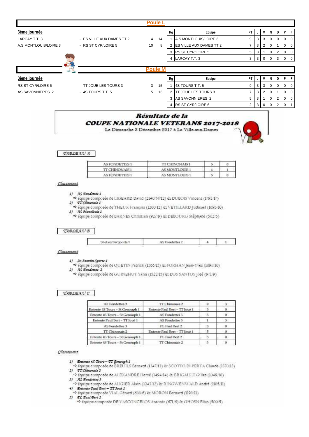|                          |                           | <b>Poule L</b> |    |                                |                |                |                |                |                |             |                |
|--------------------------|---------------------------|----------------|----|--------------------------------|----------------|----------------|----------------|----------------|----------------|-------------|----------------|
| 3ème journée             |                           |                | Rg | Equipe                         | <b>PT</b>      |                | $\mathbf{V}$   | N              | D I            | P           | -F             |
| LARCAY T.T. 3            | - ES VILLE AUX DAMES TT 2 | 4<br>14        |    | A.S MONTLOUIS/LOIRE 3          | 9              | 3              | 3 <sup>1</sup> | $\mathbf{0}$   | 0              | $\Omega$    | $\overline{0}$ |
| A.S MONTLOUIS/LOIRE 3    | - RS ST CYR/LOIRE 5       | 10<br>8        | 2  | <b>ES VILLE AUX DAMES TT 2</b> | $\overline{ }$ | 3              | 2              | 0              |                |             | $\mathbf 0$    |
|                          |                           |                | 3  | <b>RS ST CYR/LOIRE 5</b>       | 5              | 3              |                | $\Omega$       | 2              | $\Omega$    | $\Omega$       |
|                          |                           |                | 4  | LARCAY T.T. 3                  | 3              | 3 <sup>1</sup> | $\overline{0}$ | $\mathbf{0}$   | 3 <sup>1</sup> | $\Omega$    | $\Omega$       |
|                          |                           |                |    |                                |                |                |                |                |                |             |                |
|                          |                           | <b>Poule M</b> |    |                                |                |                |                |                |                |             |                |
| 3ème journée             |                           |                | Rg | Equipe                         | <b>PT</b>      |                | V              | N.             | D I            | P           | F.             |
| <b>RS ST CYR/LOIRE 6</b> | - TT JOUE LES TOURS 3     | 3<br>15        |    | 4S TOURS T.T. 5                | 9              | 3              | 3 <sup>1</sup> | $\mathbf{0}$   | 0              |             |                |
| AS SAVONNIERES 2         | $-4S$ TOURS T.T. 5        | 5<br>13        |    | <b>ITT JOUE LES TOURS 3</b>    | $\overline{ }$ | 3              | $\overline{2}$ |                |                |             |                |
|                          |                           |                | 3  | AS SAVONNIERES 2               | 5              |                | $3 \mid 1$     | $\overline{0}$ | 2 <sup>1</sup> | $\mathbf 0$ | $\Omega$       |



4 RS ST CYR/LOIRE 6



 $\overline{2}$ 

 $\overline{\mathbf{3}}$  $\overline{0}$   $\overline{0}$  $\overline{2}$  $\Omega$ 

TABLEAU A

| <b>AS FONDETTES 1</b> | <b>TT CHINONAIS1</b> |  |
|-----------------------|----------------------|--|
| <b>TT CHINONAIS1</b>  | AS MONTLOUIS 1       |  |
| <b>AS FONDETTES 1</b> | AS MONTLOUIS 1       |  |

Classement

1) AS Fondettes 1<br> $\Rightarrow$  équipe composée de LIGEARD David (2140/N712) éx DUBOIS Vincent (1793/17)

2) TT Chinonais 1

→ équipe composée de THEUX François (1200/12) & VETILLARD Judicael (1095/10)

3) As Montíonis 1<br>  $\Leftrightarrow$  équipe composée de BARNES Christian (927.9) & DEBOURG Stéphane (302.5)

**TABLEAU B** 

| <b><i>SERVICE BY PATRING</i></b> | - rondettes<br>$\sim$ |  |  |
|----------------------------------|-----------------------|--|--|
|----------------------------------|-----------------------|--|--|

Classement

1) St-Avertin Sports 1

→ équipe composée de QUETIN Patrick (1366.13) & FORHAN Jean-Yves (1098.10) 2) AS Fondettes 2

→ équipe composée de GUINEHUT Yann (1522/15) & DOS SANTOS José (971/9)

**TABLEAUC** 

| AF Fondettes 3                  | TT Chinonais 2                |    |   |
|---------------------------------|-------------------------------|----|---|
| Entente 45 Tours - St Genouph 1 | Entente Paul Bert - TT Joué 1 |    |   |
| Entente 4S Tours - St Genouph 1 | AS Fondettes 3                |    | o |
| Entente Paul Bert - TT Joué 1   | AS Fondettes 3                |    |   |
| AS Fondettes 3                  | PL Paul Bert 2                | -3 | o |
| TT Chinopais 2                  | Entente Paul Bert - TT Joué 1 |    |   |
| Entente 4S Tours - St Genouph 1 | PL Paul Bert 2                |    |   |
| Entente 45 Tours - St Genouph 1 | TT Chinonais 2                |    |   |

Classement

1) Entente 45 Tours - TT Genouph 1

→ équipe composée de BREUILS Bernard (1347-13) & SCOTTO DI PERTA Claude (1370-13) 2) <br> 27 Chinemaie 2 <br>  $\Rightarrow$  équipe composée de ALEXANDRE Hervé (1494.14) & BRIGAULT Gilles (1049.10)

→ équipe composée de AUGIER Alain (1243-12) & RINGWENWALD André (1105-11)

 $\begin{array}{ll} \hbox{4)} & \textbf{Entento Paul Bert} - \textbf{T1 Jou\'e I} \\ & \Rightarrow \hbox{équire composite VIAL. Gérard (688/6) & MORON Bernard (1198/11)} \end{array}$ 

5) CL Caul Bert 2

→ équipe composée DE VASCONCELOS Antonio (671/6) & GHOSN Elias (500/5)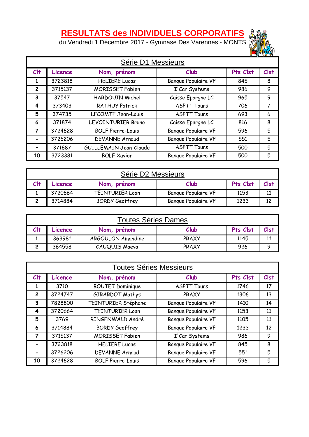# **RESULTATS des INDIVIDUELS CORPORATIFS**

du Vendredi 1 Décembre 2017 - Gymnase Des Varennes - MONTS



| Série D1 Messieurs |         |                          |                            |          |             |
|--------------------|---------|--------------------------|----------------------------|----------|-------------|
| $Cl+$              | Licence | Nom, prénom              | Club                       | Pts Clst | <b>Clst</b> |
| 1                  | 3723818 | <b>HELIERE Lucas</b>     | <b>Banque Populaire VF</b> | 845      | 8           |
| $\overline{2}$     | 3715137 | <b>MORISSET Fabien</b>   | I'Car Systems              | 986      | 9           |
| 3                  | 37547   | HARDOUIN Michel          | Caisse Epargne LC          | 965      | 9           |
| 4                  | 373403  | <b>RATHUY Patrick</b>    | <b>ASPTT Tours</b>         | 706      | 7           |
| 5                  | 374735  | LECOMTE Jean-Louis       | <b>ASPTT Tours</b>         | 693      | 6           |
| 6                  | 371874  | LEVOINTURIER Bruno       | Caisse Epargne LC          | 816      | 8           |
| 7                  | 3724628 | <b>BOLF Pierre-Louis</b> | <b>Banque Populaire VF</b> | 596      | 5           |
|                    | 3726206 | <b>DEVANNE Arnaud</b>    | <b>Banque Populaire VF</b> | 551      | 5           |
|                    | 371687  | GUILLEMAIN Jean-Claude   | <b>ASPTT Tours</b>         | 500      | 5           |
| 10                 | 3723381 | <b>BOLF Xavier</b>       | <b>Banque Populaire VF</b> | 500      | 5           |

| Série D2 Messieurs |                                                    |                        |                            |      |    |
|--------------------|----------------------------------------------------|------------------------|----------------------------|------|----|
|                    | Pts Clst<br>Clst<br>Club<br>Nom, prénom<br>Licence |                        |                            |      |    |
|                    | 3720664                                            | <b>TEINTURIER Loan</b> | <b>Banque Populaire VF</b> | 1153 | 11 |
|                    | 3714884                                            | <b>BORDY Geoffrey</b>  | <b>Banque Populaire VF</b> | 1233 | 12 |

| <b>Toutes Séries Dames</b>                                    |        |                   |       |      |      |  |
|---------------------------------------------------------------|--------|-------------------|-------|------|------|--|
| Cl <sub>†</sub><br>Pts Clst<br>Club<br>Nom, prénom<br>Licence |        |                   |       |      | Clst |  |
|                                                               | 363981 | ARGOULON Amandine | PRAXY | 1145 | 11   |  |
|                                                               | 364558 | CAUQUIS Maeva     | PRAXY | 926  | Q    |  |

|                | <b>Toutes Séries Messieurs</b> |                          |                            |          |             |  |  |
|----------------|--------------------------------|--------------------------|----------------------------|----------|-------------|--|--|
| $Cl+$          | Licence                        | Nom, prénom              | Club                       | Pts Clst | <b>Clst</b> |  |  |
|                | 3710                           | <b>BOUTET Dominique</b>  | <b>ASPTT Tours</b>         | 1746     | 17          |  |  |
| $\overline{c}$ | 3724747                        | <b>GIRARDOT Mathys</b>   | PRAXY                      | 1306     | 13          |  |  |
| 3              | 7828800                        | TEINTURIER Stéphane      | <b>Banque Populaire VF</b> | 1410     | 14          |  |  |
| 4              | 3720664                        | <b>TEINTURIER Loan</b>   | <b>Banque Populaire VF</b> | 1153     | 11          |  |  |
| 5              | 3769                           | RINGENWALD André         | <b>Banque Populaire VF</b> | 1105     | 11          |  |  |
| 6              | 3714884                        | <b>BORDY Geoffrey</b>    | <b>Banque Populaire VF</b> | 1233     | 12          |  |  |
| 7              | 3715137                        | <b>MORISSET Fabien</b>   | I'Car Systems              | 986      | 9           |  |  |
|                | 3723818                        | <b>HELIERE Lucas</b>     | <b>Banque Populaire VF</b> | 845      | 8           |  |  |
|                | 3726206                        | <b>DEVANNE Arnaud</b>    | <b>Banque Populaire VF</b> | 551      | 5           |  |  |
| 10             | 3724628                        | <b>BOLF Pierre-Louis</b> | <b>Banque Populaire VF</b> | 596      | 5           |  |  |